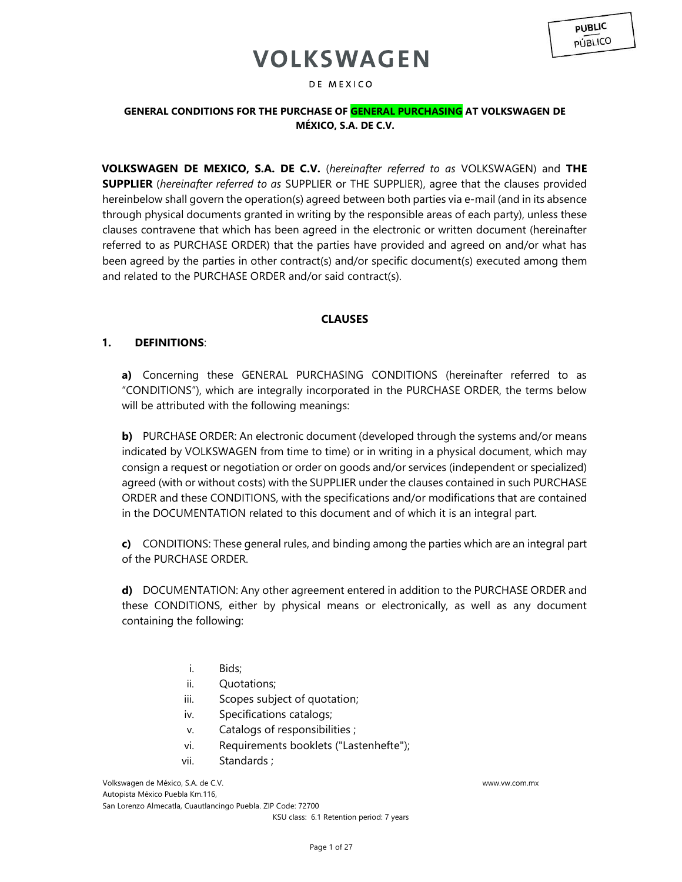### DE MEXICO

## **GENERAL CONDITIONS FOR THE PURCHASE OF GENERAL PURCHASING AT VOLKSWAGEN DE MÉXICO, S.A. DE C.V.**

**VOLKSWAGEN DE MEXICO, S.A. DE C.V.** (*hereinafter referred to as* VOLKSWAGEN) and **THE SUPPLIER** (*hereinafter referred to as* SUPPLIER or THE SUPPLIER), agree that the clauses provided hereinbelow shall govern the operation(s) agreed between both parties via e-mail (and in its absence through physical documents granted in writing by the responsible areas of each party), unless these clauses contravene that which has been agreed in the electronic or written document (hereinafter referred to as PURCHASE ORDER) that the parties have provided and agreed on and/or what has been agreed by the parties in other contract(s) and/or specific document(s) executed among them and related to the PURCHASE ORDER and/or said contract(s).

## **CLAUSES**

## **1. DEFINITIONS**:

**a)** Concerning these GENERAL PURCHASING CONDITIONS (hereinafter referred to as "CONDITIONS"), which are integrally incorporated in the PURCHASE ORDER, the terms below will be attributed with the following meanings:

**b)** PURCHASE ORDER: An electronic document (developed through the systems and/or means indicated by VOLKSWAGEN from time to time) or in writing in a physical document, which may consign a request or negotiation or order on goods and/or services (independent or specialized) agreed (with or without costs) with the SUPPLIER under the clauses contained in such PURCHASE ORDER and these CONDITIONS, with the specifications and/or modifications that are contained in the DOCUMENTATION related to this document and of which it is an integral part.

**c)** CONDITIONS: These general rules, and binding among the parties which are an integral part of the PURCHASE ORDER.

**d)** DOCUMENTATION: Any other agreement entered in addition to the PURCHASE ORDER and these CONDITIONS, either by physical means or electronically, as well as any document containing the following:

- i. Bids;
- ii. Quotations;
- iii. Scopes subject of quotation;
- iv. Specifications catalogs;
- v. Catalogs of responsibilities ;
- vi. Requirements booklets ("Lastenhefte");
- vii. Standards ;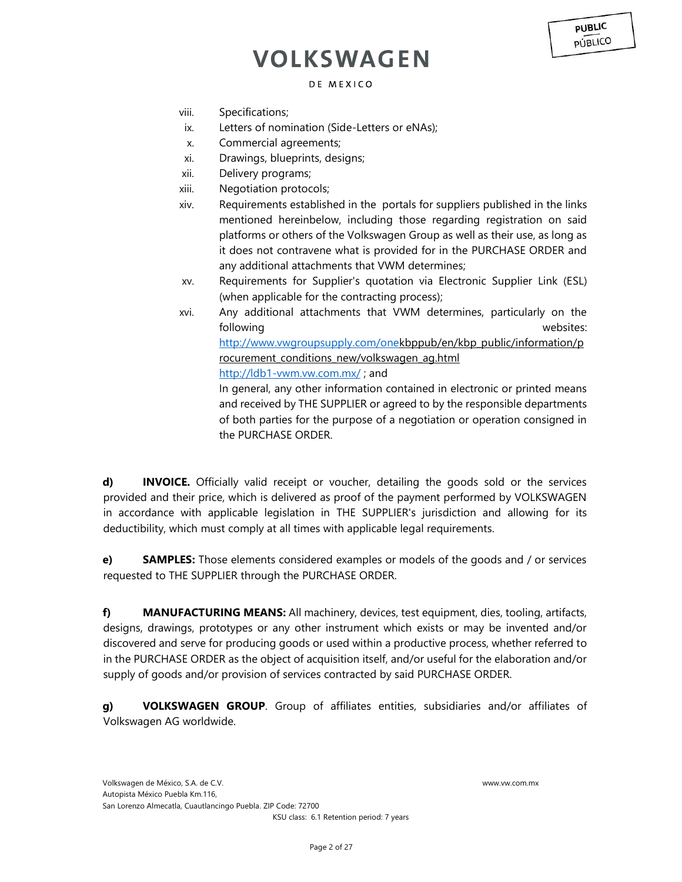### DE MEXICO

- viii. Specifications;
- ix. Letters of nomination (Side-Letters or eNAs);
- x. Commercial agreements;
- xi. Drawings, blueprints, designs;
- xii. Delivery programs;
- xiii. Negotiation protocols;
- xiv. Requirements established in the portals for suppliers published in the links mentioned hereinbelow, including those regarding registration on said platforms or others of the Volkswagen Group as well as their use, as long as it does not contravene what is provided for in the PURCHASE ORDER and any additional attachments that VWM determines;
- xv. Requirements for Supplier's quotation via Electronic Supplier Link (ESL) (when applicable for the contracting process);
- xvi. Any additional attachments that VWM determines, particularly on the following websites: [http://www.vwgroupsupply.com/onekbp](http://www.vwgroupsupply.com/one)[pub/en/kbp\\_public/information/p](http://www.vwgroupsupply.com/one-kbp-pub/en/kbp_public/information/procurement_conditions_new/volkswagen_ag.html) rocurement conditions new/volkswagen ag.html <http://ldb1-vwm.vw.com.mx/> [;](http://ldb1-vwm.vw.com.mx/) and

In general, any other information contained in electronic or printed means and received by THE SUPPLIER or agreed to by the responsible departments of both parties for the purpose of a negotiation or operation consigned in the PURCHASE ORDER.

**d) INVOICE.** Officially valid receipt or voucher, detailing the goods sold or the services provided and their price, which is delivered as proof of the payment performed by VOLKSWAGEN in accordance with applicable legislation in THE SUPPLIER's jurisdiction and allowing for its deductibility, which must comply at all times with applicable legal requirements.

**e) SAMPLES:** Those elements considered examples or models of the goods and / or services requested to THE SUPPLIER through the PURCHASE ORDER.

**f) MANUFACTURING MEANS:** All machinery, devices, test equipment, dies, tooling, artifacts, designs, drawings, prototypes or any other instrument which exists or may be invented and/or discovered and serve for producing goods or used within a productive process, whether referred to in the PURCHASE ORDER as the object of acquisition itself, and/or useful for the elaboration and/or supply of goods and/or provision of services contracted by said PURCHASE ORDER.

**g) VOLKSWAGEN GROUP**. Group of affiliates entities, subsidiaries and/or affiliates of Volkswagen AG worldwide.

**PUBLIC PÚBLICO**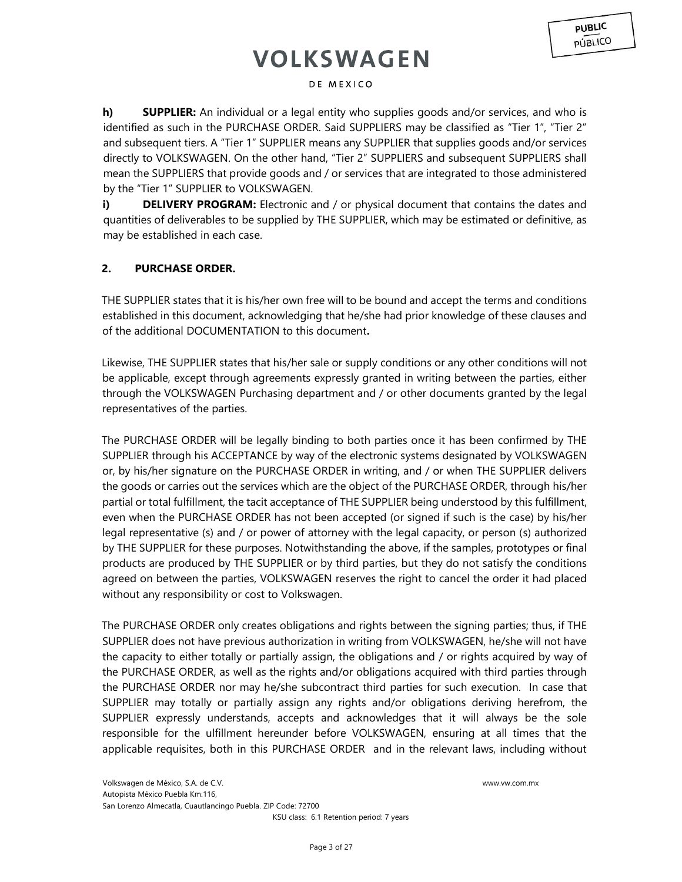### DE MEXICO

**h) SUPPLIER:** An individual or a legal entity who supplies goods and/or services, and who is identified as such in the PURCHASE ORDER. Said SUPPLIERS may be classified as "Tier 1", "Tier 2" and subsequent tiers. A "Tier 1" SUPPLIER means any SUPPLIER that supplies goods and/or services directly to VOLKSWAGEN. On the other hand, "Tier 2" SUPPLIERS and subsequent SUPPLIERS shall mean the SUPPLIERS that provide goods and / or services that are integrated to those administered by the "Tier 1" SUPPLIER to VOLKSWAGEN.

**i) <b>DELIVERY PROGRAM:** Electronic and / or physical document that contains the dates and quantities of deliverables to be supplied by THE SUPPLIER, which may be estimated or definitive, as may be established in each case.

## **2. PURCHASE ORDER.**

THE SUPPLIER states that it is his/her own free will to be bound and accept the terms and conditions established in this document, acknowledging that he/she had prior knowledge of these clauses and of the additional DOCUMENTATION to this document**.** 

Likewise, THE SUPPLIER states that his/her sale or supply conditions or any other conditions will not be applicable, except through agreements expressly granted in writing between the parties, either through the VOLKSWAGEN Purchasing department and / or other documents granted by the legal representatives of the parties.

The PURCHASE ORDER will be legally binding to both parties once it has been confirmed by THE SUPPLIER through his ACCEPTANCE by way of the electronic systems designated by VOLKSWAGEN or, by his/her signature on the PURCHASE ORDER in writing, and / or when THE SUPPLIER delivers the goods or carries out the services which are the object of the PURCHASE ORDER, through his/her partial or total fulfillment, the tacit acceptance of THE SUPPLIER being understood by this fulfillment, even when the PURCHASE ORDER has not been accepted (or signed if such is the case) by his/her legal representative (s) and / or power of attorney with the legal capacity, or person (s) authorized by THE SUPPLIER for these purposes. Notwithstanding the above, if the samples, prototypes or final products are produced by THE SUPPLIER or by third parties, but they do not satisfy the conditions agreed on between the parties, VOLKSWAGEN reserves the right to cancel the order it had placed without any responsibility or cost to Volkswagen.

The PURCHASE ORDER only creates obligations and rights between the signing parties; thus, if THE SUPPLIER does not have previous authorization in writing from VOLKSWAGEN, he/she will not have the capacity to either totally or partially assign, the obligations and / or rights acquired by way of the PURCHASE ORDER, as well as the rights and/or obligations acquired with third parties through the PURCHASE ORDER nor may he/she subcontract third parties for such execution. In case that SUPPLIER may totally or partially assign any rights and/or obligations deriving herefrom, the SUPPLIER expressly understands, accepts and acknowledges that it will always be the sole responsible for the ulfillment hereunder before VOLKSWAGEN, ensuring at all times that the applicable requisites, both in this PURCHASE ORDER and in the relevant laws, including without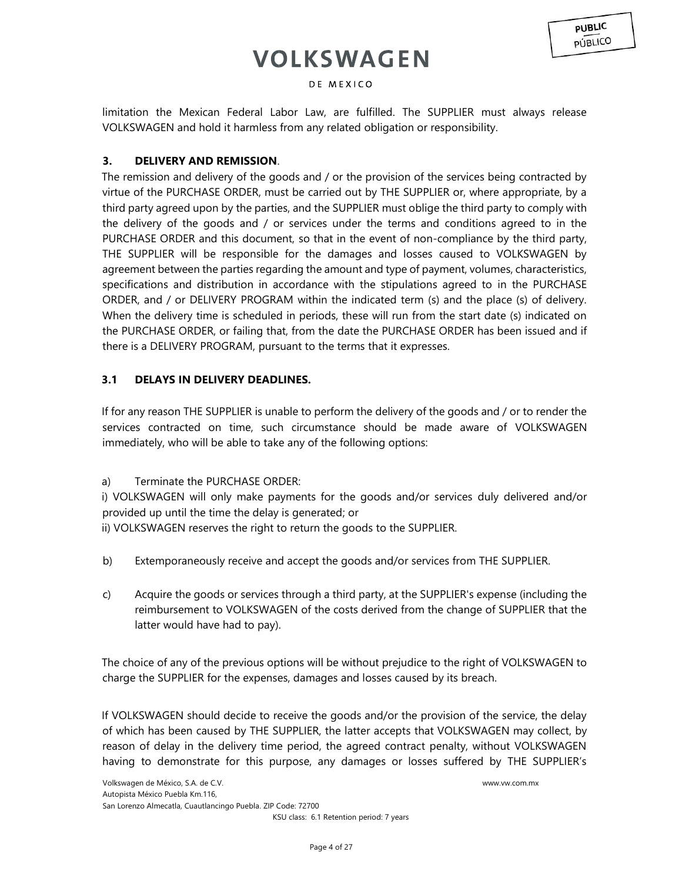### DE MEXICO

limitation the Mexican Federal Labor Law, are fulfilled. The SUPPLIER must always release VOLKSWAGEN and hold it harmless from any related obligation or responsibility.

## **3. DELIVERY AND REMISSION**.

The remission and delivery of the goods and / or the provision of the services being contracted by virtue of the PURCHASE ORDER, must be carried out by THE SUPPLIER or, where appropriate, by a third party agreed upon by the parties, and the SUPPLIER must oblige the third party to comply with the delivery of the goods and / or services under the terms and conditions agreed to in the PURCHASE ORDER and this document, so that in the event of non-compliance by the third party, THE SUPPLIER will be responsible for the damages and losses caused to VOLKSWAGEN by agreement between the parties regarding the amount and type of payment, volumes, characteristics, specifications and distribution in accordance with the stipulations agreed to in the PURCHASE ORDER, and / or DELIVERY PROGRAM within the indicated term (s) and the place (s) of delivery. When the delivery time is scheduled in periods, these will run from the start date (s) indicated on the PURCHASE ORDER, or failing that, from the date the PURCHASE ORDER has been issued and if there is a DELIVERY PROGRAM, pursuant to the terms that it expresses.

## **3.1 DELAYS IN DELIVERY DEADLINES.**

If for any reason THE SUPPLIER is unable to perform the delivery of the goods and / or to render the services contracted on time, such circumstance should be made aware of VOLKSWAGEN immediately, who will be able to take any of the following options:

a) Terminate the PURCHASE ORDER:

i) VOLKSWAGEN will only make payments for the goods and/or services duly delivered and/or provided up until the time the delay is generated; or

ii) VOLKSWAGEN reserves the right to return the goods to the SUPPLIER.

- b) Extemporaneously receive and accept the goods and/or services from THE SUPPLIER.
- c) Acquire the goods or services through a third party, at the SUPPLIER's expense (including the reimbursement to VOLKSWAGEN of the costs derived from the change of SUPPLIER that the latter would have had to pay).

The choice of any of the previous options will be without prejudice to the right of VOLKSWAGEN to charge the SUPPLIER for the expenses, damages and losses caused by its breach.

If VOLKSWAGEN should decide to receive the goods and/or the provision of the service, the delay of which has been caused by THE SUPPLIER, the latter accepts that VOLKSWAGEN may collect, by reason of delay in the delivery time period, the agreed contract penalty, without VOLKSWAGEN having to demonstrate for this purpose, any damages or losses suffered by THE SUPPLIER's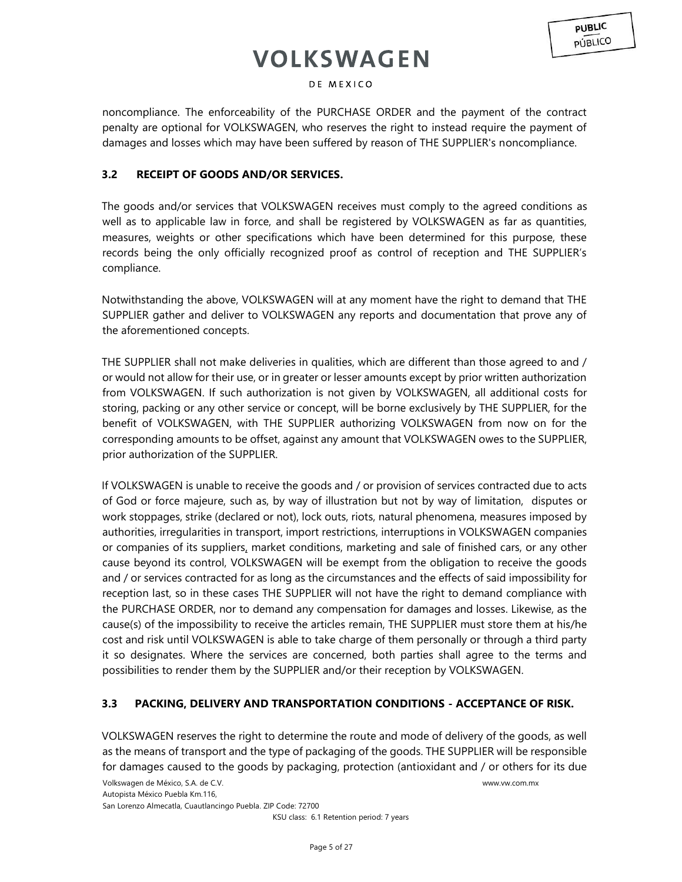### DE MEXICO

noncompliance. The enforceability of the PURCHASE ORDER and the payment of the contract penalty are optional for VOLKSWAGEN, who reserves the right to instead require the payment of damages and losses which may have been suffered by reason of THE SUPPLIER's noncompliance.

## **3.2 RECEIPT OF GOODS AND/OR SERVICES.**

The goods and/or services that VOLKSWAGEN receives must comply to the agreed conditions as well as to applicable law in force, and shall be registered by VOLKSWAGEN as far as quantities, measures, weights or other specifications which have been determined for this purpose, these records being the only officially recognized proof as control of reception and THE SUPPLIER's compliance.

Notwithstanding the above, VOLKSWAGEN will at any moment have the right to demand that THE SUPPLIER gather and deliver to VOLKSWAGEN any reports and documentation that prove any of the aforementioned concepts.

THE SUPPLIER shall not make deliveries in qualities, which are different than those agreed to and / or would not allow for their use, or in greater or lesser amounts except by prior written authorization from VOLKSWAGEN. If such authorization is not given by VOLKSWAGEN, all additional costs for storing, packing or any other service or concept, will be borne exclusively by THE SUPPLIER, for the benefit of VOLKSWAGEN, with THE SUPPLIER authorizing VOLKSWAGEN from now on for the corresponding amounts to be offset, against any amount that VOLKSWAGEN owes to the SUPPLIER, prior authorization of the SUPPLIER.

If VOLKSWAGEN is unable to receive the goods and / or provision of services contracted due to acts of God or force majeure, such as, by way of illustration but not by way of limitation, disputes or work stoppages, strike (declared or not), lock outs, riots, natural phenomena, measures imposed by authorities, irregularities in transport, import restrictions, interruptions in VOLKSWAGEN companies or companies of its suppliers, market conditions, marketing and sale of finished cars, or any other cause beyond its control, VOLKSWAGEN will be exempt from the obligation to receive the goods and / or services contracted for as long as the circumstances and the effects of said impossibility for reception last, so in these cases THE SUPPLIER will not have the right to demand compliance with the PURCHASE ORDER, nor to demand any compensation for damages and losses. Likewise, as the cause(s) of the impossibility to receive the articles remain, THE SUPPLIER must store them at his/he cost and risk until VOLKSWAGEN is able to take charge of them personally or through a third party it so designates. Where the services are concerned, both parties shall agree to the terms and possibilities to render them by the SUPPLIER and/or their reception by VOLKSWAGEN.

## **3.3 PACKING, DELIVERY AND TRANSPORTATION CONDITIONS - ACCEPTANCE OF RISK.**

VOLKSWAGEN reserves the right to determine the route and mode of delivery of the goods, as well as the means of transport and the type of packaging of the goods. THE SUPPLIER will be responsible for damages caused to the goods by packaging, protection (antioxidant and / or others for its due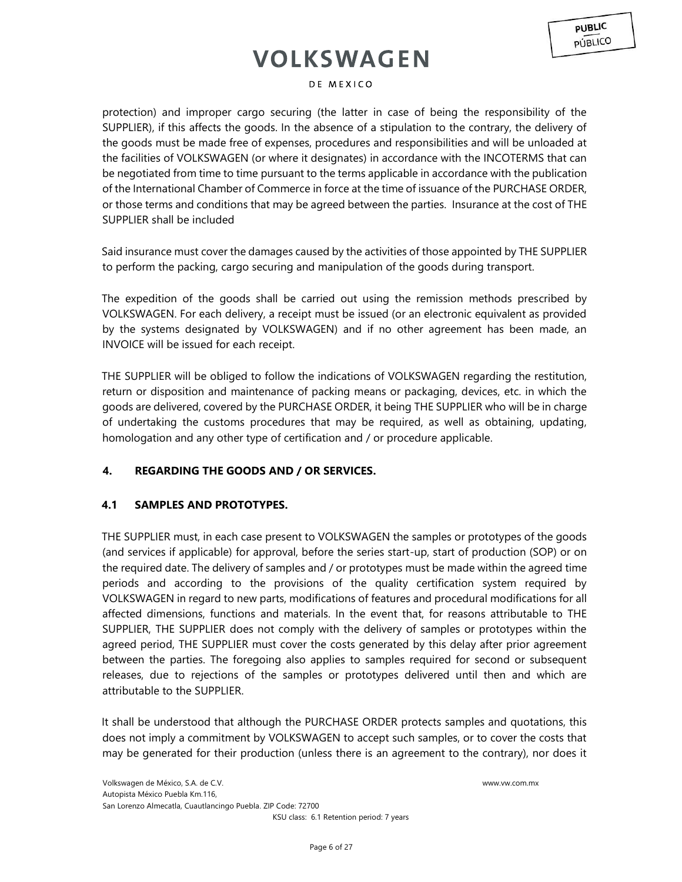#### DE MEXICO

protection) and improper cargo securing (the latter in case of being the responsibility of the SUPPLIER), if this affects the goods. In the absence of a stipulation to the contrary, the delivery of the goods must be made free of expenses, procedures and responsibilities and will be unloaded at the facilities of VOLKSWAGEN (or where it designates) in accordance with the INCOTERMS that can be negotiated from time to time pursuant to the terms applicable in accordance with the publication of the International Chamber of Commerce in force at the time of issuance of the PURCHASE ORDER, or those terms and conditions that may be agreed between the parties. Insurance at the cost of THE SUPPLIER shall be included

Said insurance must cover the damages caused by the activities of those appointed by THE SUPPLIER to perform the packing, cargo securing and manipulation of the goods during transport.

The expedition of the goods shall be carried out using the remission methods prescribed by VOLKSWAGEN. For each delivery, a receipt must be issued (or an electronic equivalent as provided by the systems designated by VOLKSWAGEN) and if no other agreement has been made, an INVOICE will be issued for each receipt.

THE SUPPLIER will be obliged to follow the indications of VOLKSWAGEN regarding the restitution, return or disposition and maintenance of packing means or packaging, devices, etc. in which the goods are delivered, covered by the PURCHASE ORDER, it being THE SUPPLIER who will be in charge of undertaking the customs procedures that may be required, as well as obtaining, updating, homologation and any other type of certification and / or procedure applicable.

## **4. REGARDING THE GOODS AND / OR SERVICES.**

### **4.1 SAMPLES AND PROTOTYPES.**

THE SUPPLIER must, in each case present to VOLKSWAGEN the samples or prototypes of the goods (and services if applicable) for approval, before the series start-up, start of production (SOP) or on the required date. The delivery of samples and / or prototypes must be made within the agreed time periods and according to the provisions of the quality certification system required by VOLKSWAGEN in regard to new parts, modifications of features and procedural modifications for all affected dimensions, functions and materials. In the event that, for reasons attributable to THE SUPPLIER, THE SUPPLIER does not comply with the delivery of samples or prototypes within the agreed period, THE SUPPLIER must cover the costs generated by this delay after prior agreement between the parties. The foregoing also applies to samples required for second or subsequent releases, due to rejections of the samples or prototypes delivered until then and which are attributable to the SUPPLIER.

It shall be understood that although the PURCHASE ORDER protects samples and quotations, this does not imply a commitment by VOLKSWAGEN to accept such samples, or to cover the costs that may be generated for their production (unless there is an agreement to the contrary), nor does it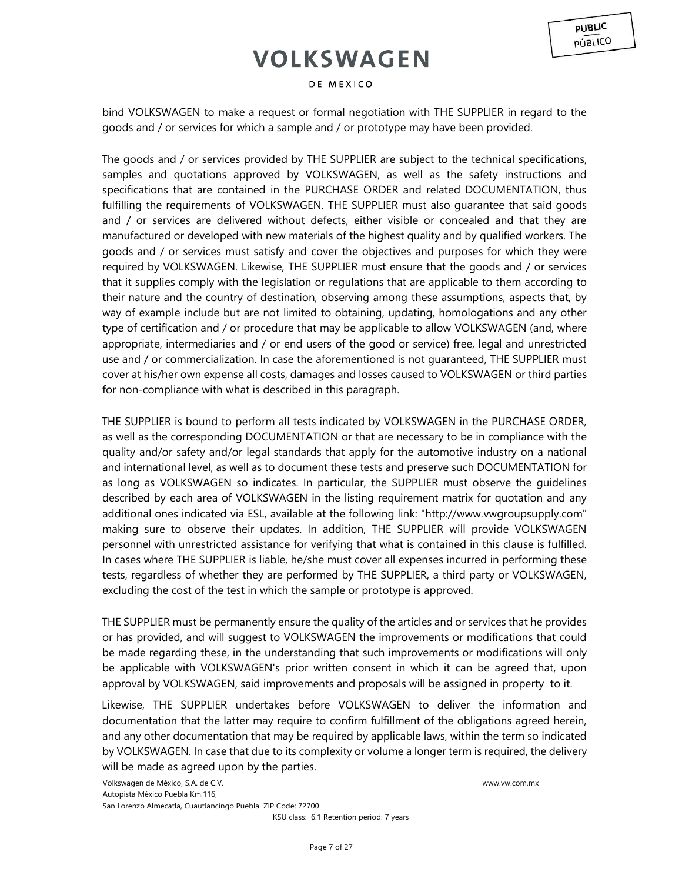### DE MEXICO

bind VOLKSWAGEN to make a request or formal negotiation with THE SUPPLIER in regard to the goods and / or services for which a sample and / or prototype may have been provided.

The goods and / or services provided by THE SUPPLIER are subject to the technical specifications, samples and quotations approved by VOLKSWAGEN, as well as the safety instructions and specifications that are contained in the PURCHASE ORDER and related DOCUMENTATION, thus fulfilling the requirements of VOLKSWAGEN. THE SUPPLIER must also guarantee that said goods and / or services are delivered without defects, either visible or concealed and that they are manufactured or developed with new materials of the highest quality and by qualified workers. The goods and / or services must satisfy and cover the objectives and purposes for which they were required by VOLKSWAGEN. Likewise, THE SUPPLIER must ensure that the goods and / or services that it supplies comply with the legislation or regulations that are applicable to them according to their nature and the country of destination, observing among these assumptions, aspects that, by way of example include but are not limited to obtaining, updating, homologations and any other type of certification and / or procedure that may be applicable to allow VOLKSWAGEN (and, where appropriate, intermediaries and / or end users of the good or service) free, legal and unrestricted use and / or commercialization. In case the aforementioned is not guaranteed, THE SUPPLIER must cover at his/her own expense all costs, damages and losses caused to VOLKSWAGEN or third parties for non-compliance with what is described in this paragraph.

THE SUPPLIER is bound to perform all tests indicated by VOLKSWAGEN in the PURCHASE ORDER, as well as the corresponding DOCUMENTATION or that are necessary to be in compliance with the quality and/or safety and/or legal standards that apply for the automotive industry on a national and international level, as well as to document these tests and preserve such DOCUMENTATION for as long as VOLKSWAGEN so indicates. In particular, the SUPPLIER must observe the guidelines described by each area of VOLKSWAGEN in the listing requirement matrix for quotation and any additional ones indicated via ESL, available at the following link: "http://www.vwgroupsupply.com" making sure to observe their updates. In addition, THE SUPPLIER will provide VOLKSWAGEN personnel with unrestricted assistance for verifying that what is contained in this clause is fulfilled. In cases where THE SUPPLIER is liable, he/she must cover all expenses incurred in performing these tests, regardless of whether they are performed by THE SUPPLIER, a third party or VOLKSWAGEN, excluding the cost of the test in which the sample or prototype is approved.

THE SUPPLIER must be permanently ensure the quality of the articles and or services that he provides or has provided, and will suggest to VOLKSWAGEN the improvements or modifications that could be made regarding these, in the understanding that such improvements or modifications will only be applicable with VOLKSWAGEN's prior written consent in which it can be agreed that, upon approval by VOLKSWAGEN, said improvements and proposals will be assigned in property to it.

Likewise, THE SUPPLIER undertakes before VOLKSWAGEN to deliver the information and documentation that the latter may require to confirm fulfillment of the obligations agreed herein, and any other documentation that may be required by applicable laws, within the term so indicated by VOLKSWAGEN. In case that due to its complexity or volume a longer term is required, the delivery will be made as agreed upon by the parties.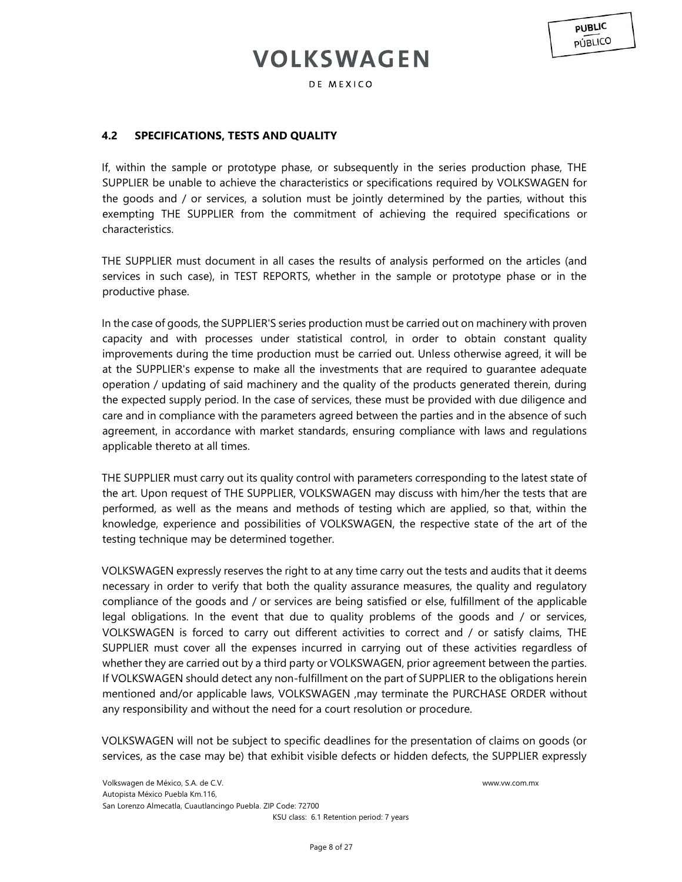**PUBLIC PÚBLICO** 

## **4.2 SPECIFICATIONS, TESTS AND QUALITY**

If, within the sample or prototype phase, or subsequently in the series production phase, THE SUPPLIER be unable to achieve the characteristics or specifications required by VOLKSWAGEN for the goods and / or services, a solution must be jointly determined by the parties, without this exempting THE SUPPLIER from the commitment of achieving the required specifications or characteristics.

THE SUPPLIER must document in all cases the results of analysis performed on the articles (and services in such case), in TEST REPORTS, whether in the sample or prototype phase or in the productive phase.

In the case of goods, the SUPPLIER'S series production must be carried out on machinery with proven capacity and with processes under statistical control, in order to obtain constant quality improvements during the time production must be carried out. Unless otherwise agreed, it will be at the SUPPLIER's expense to make all the investments that are required to guarantee adequate operation / updating of said machinery and the quality of the products generated therein, during the expected supply period. In the case of services, these must be provided with due diligence and care and in compliance with the parameters agreed between the parties and in the absence of such agreement, in accordance with market standards, ensuring compliance with laws and regulations applicable thereto at all times.

THE SUPPLIER must carry out its quality control with parameters corresponding to the latest state of the art. Upon request of THE SUPPLIER, VOLKSWAGEN may discuss with him/her the tests that are performed, as well as the means and methods of testing which are applied, so that, within the knowledge, experience and possibilities of VOLKSWAGEN, the respective state of the art of the testing technique may be determined together.

VOLKSWAGEN expressly reserves the right to at any time carry out the tests and audits that it deems necessary in order to verify that both the quality assurance measures, the quality and regulatory compliance of the goods and / or services are being satisfied or else, fulfillment of the applicable legal obligations. In the event that due to quality problems of the goods and / or services, VOLKSWAGEN is forced to carry out different activities to correct and / or satisfy claims, THE SUPPLIER must cover all the expenses incurred in carrying out of these activities regardless of whether they are carried out by a third party or VOLKSWAGEN, prior agreement between the parties. If VOLKSWAGEN should detect any non-fulfillment on the part of SUPPLIER to the obligations herein mentioned and/or applicable laws, VOLKSWAGEN ,may terminate the PURCHASE ORDER without any responsibility and without the need for a court resolution or procedure.

VOLKSWAGEN will not be subject to specific deadlines for the presentation of claims on goods (or services, as the case may be) that exhibit visible defects or hidden defects, the SUPPLIER expressly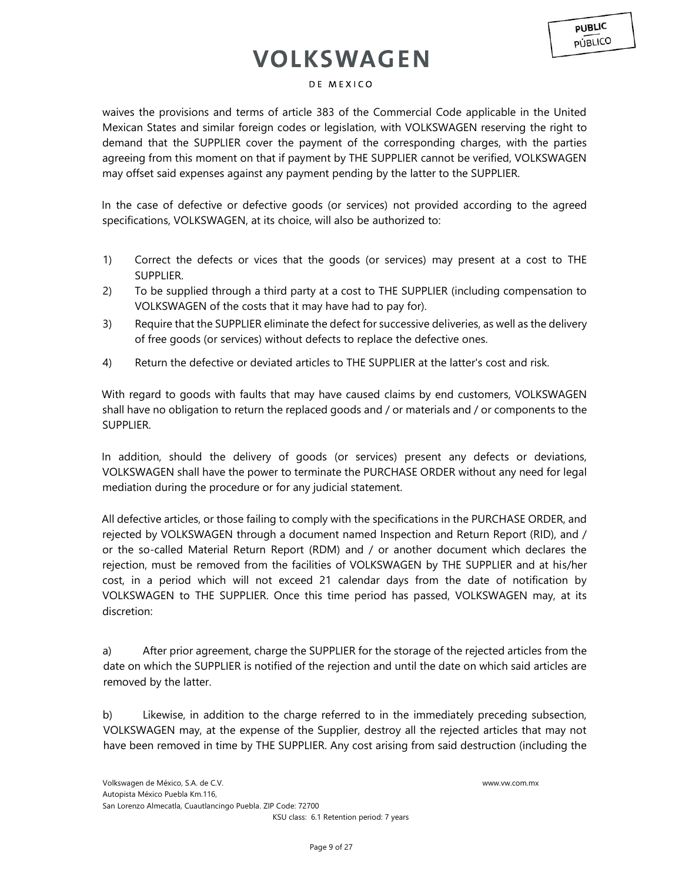### DE MEXICO

waives the provisions and terms of article 383 of the Commercial Code applicable in the United Mexican States and similar foreign codes or legislation, with VOLKSWAGEN reserving the right to demand that the SUPPLIER cover the payment of the corresponding charges, with the parties agreeing from this moment on that if payment by THE SUPPLIER cannot be verified, VOLKSWAGEN may offset said expenses against any payment pending by the latter to the SUPPLIER.

In the case of defective or defective goods (or services) not provided according to the agreed specifications, VOLKSWAGEN, at its choice, will also be authorized to:

- 1) Correct the defects or vices that the goods (or services) may present at a cost to THE SUPPLIER.
- 2) To be supplied through a third party at a cost to THE SUPPLIER (including compensation to VOLKSWAGEN of the costs that it may have had to pay for).
- 3) Require that the SUPPLIER eliminate the defect for successive deliveries, as well as the delivery of free goods (or services) without defects to replace the defective ones.
- 4) Return the defective or deviated articles to THE SUPPLIER at the latter's cost and risk.

With regard to goods with faults that may have caused claims by end customers, VOLKSWAGEN shall have no obligation to return the replaced goods and / or materials and / or components to the SUPPLIER.

In addition, should the delivery of goods (or services) present any defects or deviations, VOLKSWAGEN shall have the power to terminate the PURCHASE ORDER without any need for legal mediation during the procedure or for any judicial statement.

All defective articles, or those failing to comply with the specifications in the PURCHASE ORDER, and rejected by VOLKSWAGEN through a document named Inspection and Return Report (RID), and / or the so-called Material Return Report (RDM) and / or another document which declares the rejection, must be removed from the facilities of VOLKSWAGEN by THE SUPPLIER and at his/her cost, in a period which will not exceed 21 calendar days from the date of notification by VOLKSWAGEN to THE SUPPLIER. Once this time period has passed, VOLKSWAGEN may, at its discretion:

a) After prior agreement, charge the SUPPLIER for the storage of the rejected articles from the date on which the SUPPLIER is notified of the rejection and until the date on which said articles are removed by the latter.

b) Likewise, in addition to the charge referred to in the immediately preceding subsection, VOLKSWAGEN may, at the expense of the Supplier, destroy all the rejected articles that may not have been removed in time by THE SUPPLIER. Any cost arising from said destruction (including the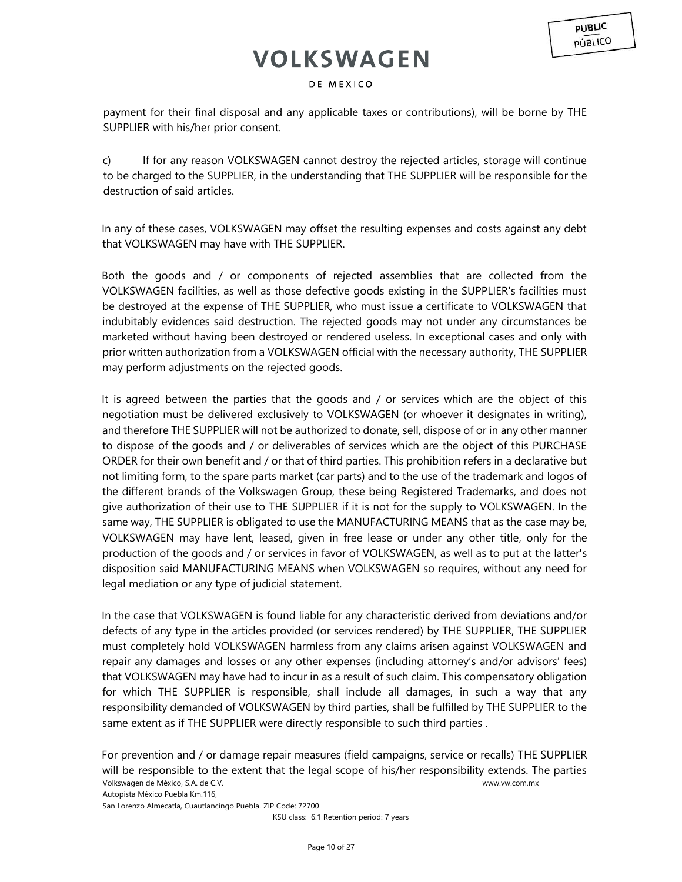#### DE MEXICO

payment for their final disposal and any applicable taxes or contributions), will be borne by THE SUPPLIER with his/her prior consent.

c) If for any reason VOLKSWAGEN cannot destroy the rejected articles, storage will continue to be charged to the SUPPLIER, in the understanding that THE SUPPLIER will be responsible for the destruction of said articles.

In any of these cases, VOLKSWAGEN may offset the resulting expenses and costs against any debt that VOLKSWAGEN may have with THE SUPPLIER.

Both the goods and / or components of rejected assemblies that are collected from the VOLKSWAGEN facilities, as well as those defective goods existing in the SUPPLIER's facilities must be destroyed at the expense of THE SUPPLIER, who must issue a certificate to VOLKSWAGEN that indubitably evidences said destruction. The rejected goods may not under any circumstances be marketed without having been destroyed or rendered useless. In exceptional cases and only with prior written authorization from a VOLKSWAGEN official with the necessary authority, THE SUPPLIER may perform adjustments on the rejected goods.

It is agreed between the parties that the goods and / or services which are the object of this negotiation must be delivered exclusively to VOLKSWAGEN (or whoever it designates in writing), and therefore THE SUPPLIER will not be authorized to donate, sell, dispose of or in any other manner to dispose of the goods and / or deliverables of services which are the object of this PURCHASE ORDER for their own benefit and / or that of third parties. This prohibition refers in a declarative but not limiting form, to the spare parts market (car parts) and to the use of the trademark and logos of the different brands of the Volkswagen Group, these being Registered Trademarks, and does not give authorization of their use to THE SUPPLIER if it is not for the supply to VOLKSWAGEN. In the same way, THE SUPPLIER is obligated to use the MANUFACTURING MEANS that as the case may be, VOLKSWAGEN may have lent, leased, given in free lease or under any other title, only for the production of the goods and / or services in favor of VOLKSWAGEN, as well as to put at the latter's disposition said MANUFACTURING MEANS when VOLKSWAGEN so requires, without any need for legal mediation or any type of judicial statement.

In the case that VOLKSWAGEN is found liable for any characteristic derived from deviations and/or defects of any type in the articles provided (or services rendered) by THE SUPPLIER, THE SUPPLIER must completely hold VOLKSWAGEN harmless from any claims arisen against VOLKSWAGEN and repair any damages and losses or any other expenses (including attorney's and/or advisors' fees) that VOLKSWAGEN may have had to incur in as a result of such claim. This compensatory obligation for which THE SUPPLIER is responsible, shall include all damages, in such a way that any responsibility demanded of VOLKSWAGEN by third parties, shall be fulfilled by THE SUPPLIER to the same extent as if THE SUPPLIER were directly responsible to such third parties .

Volkswagen de México, S.A. de C.V. www.vw.com.mx Autopista México Puebla Km.116, San Lorenzo Almecatla, Cuautlancingo Puebla. ZIP Code: 72700 For prevention and / or damage repair measures (field campaigns, service or recalls) THE SUPPLIER will be responsible to the extent that the legal scope of his/her responsibility extends. The parties

KSU class: 6.1 Retention period: 7 years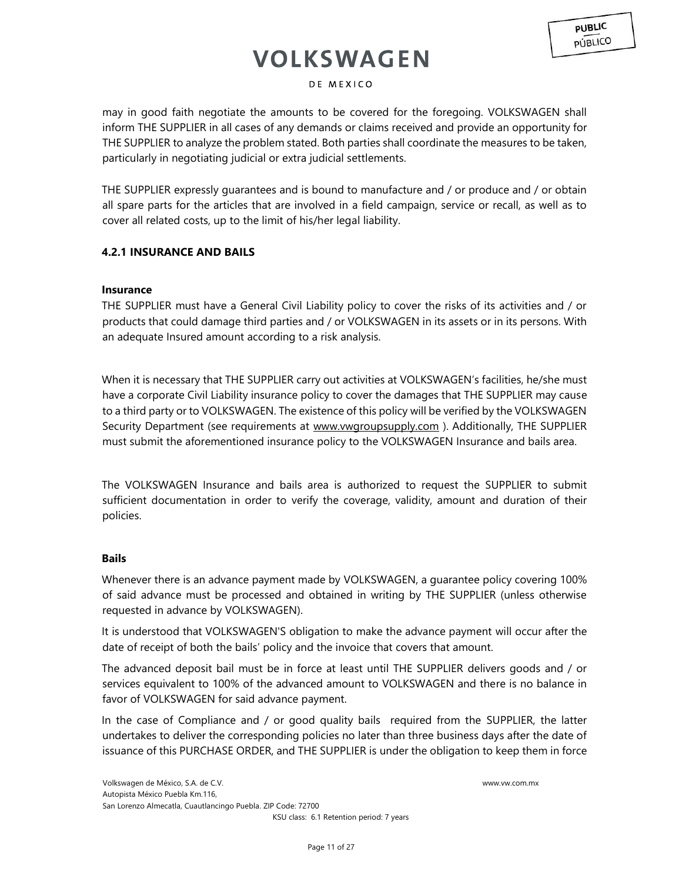### DE MEXICO

may in good faith negotiate the amounts to be covered for the foregoing. VOLKSWAGEN shall inform THE SUPPLIER in all cases of any demands or claims received and provide an opportunity for THE SUPPLIER to analyze the problem stated. Both parties shall coordinate the measures to be taken, particularly in negotiating judicial or extra judicial settlements.

THE SUPPLIER expressly guarantees and is bound to manufacture and / or produce and / or obtain all spare parts for the articles that are involved in a field campaign, service or recall, as well as to cover all related costs, up to the limit of his/her legal liability.

## **4.2.1 INSURANCE AND BAILS**

### **Insurance**

THE SUPPLIER must have a General Civil Liability policy to cover the risks of its activities and / or products that could damage third parties and / or VOLKSWAGEN in its assets or in its persons. With an adequate Insured amount according to a risk analysis.

When it is necessary that THE SUPPLIER carry out activities at VOLKSWAGEN's facilities, he/she must have a corporate Civil Liability insurance policy to cover the damages that THE SUPPLIER may cause to a third party or to VOLKSWAGEN. The existence of this policy will be verified by the VOLKSWAGEN Security Department (see requirements at [www.vwgroupsupply.com](http://www.vwgroupsupply.com/) [\)](http://www.vwgroupsupply.com/). Additionally, THE SUPPLIER must submit the aforementioned insurance policy to the VOLKSWAGEN Insurance and bails area.

The VOLKSWAGEN Insurance and bails area is authorized to request the SUPPLIER to submit sufficient documentation in order to verify the coverage, validity, amount and duration of their policies.

### **Bails**

Whenever there is an advance payment made by VOLKSWAGEN, a guarantee policy covering 100% of said advance must be processed and obtained in writing by THE SUPPLIER (unless otherwise requested in advance by VOLKSWAGEN).

It is understood that VOLKSWAGEN'S obligation to make the advance payment will occur after the date of receipt of both the bails' policy and the invoice that covers that amount.

The advanced deposit bail must be in force at least until THE SUPPLIER delivers goods and / or services equivalent to 100% of the advanced amount to VOLKSWAGEN and there is no balance in favor of VOLKSWAGEN for said advance payment.

In the case of Compliance and / or good quality bails required from the SUPPLIER, the latter undertakes to deliver the corresponding policies no later than three business days after the date of issuance of this PURCHASE ORDER, and THE SUPPLIER is under the obligation to keep them in force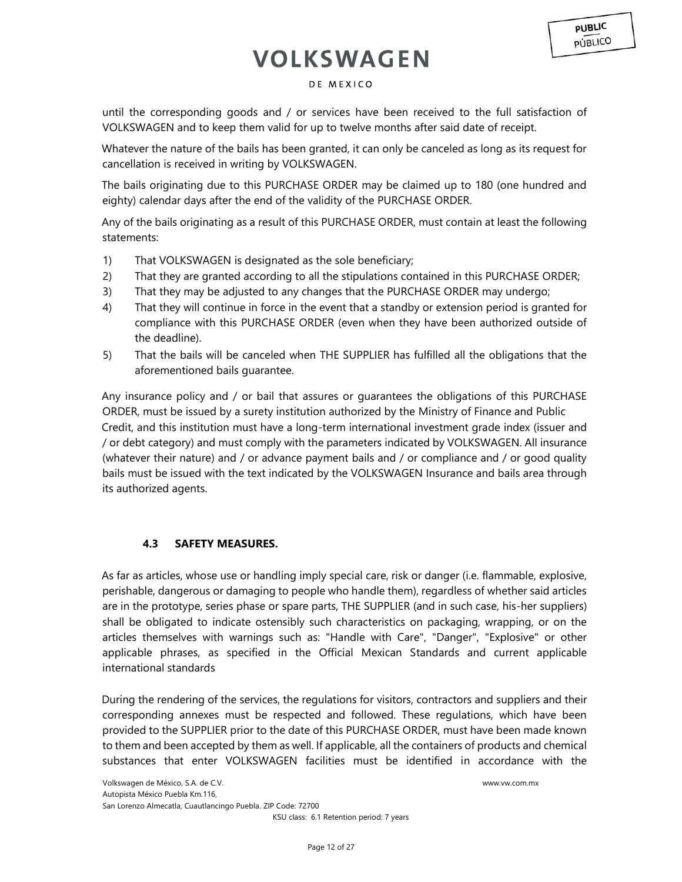### DE MEXICO

until the corresponding goods and / or services have been received to the full satisfaction of VOLKSWAGEN and to keep them valid for up to twelve months after said date of receipt.

Whatever the nature of the bails has been granted, it can only be canceled as long as its request for cancellation is received in writing by VOLKSWAGEN.

The bails originating due to this PURCHASE ORDER may be claimed up to 180 (one hundred and eighty) calendar days after the end of the validity of the PURCHASE ORDER.

Any of the bails originating as a result of this PURCHASE ORDER, must contain at least the following statements:

- 1) That VOLKSWAGEN is designated as the sole beneficiary;
- 2) That they are granted according to all the stipulations contained in this PURCHASE ORDER;
- 3) That they may be adjusted to any changes that the PURCHASE ORDER may undergo;
- 4) That they will continue in force in the event that a standby or extension period is granted for compliance with this PURCHASE ORDER (even when they have been authorized outside of the deadline).
- 5) That the bails will be canceled when THE SUPPLIER has fulfilled all the obligations that the aforementioned bails guarantee.

Any insurance policy and / or bail that assures or guarantees the obligations of this PURCHASE ORDER, must be issued by a surety institution authorized by the Ministry of Finance and Public Credit, and this institution must have a long-term international investment grade index (issuer and / or debt category) and must comply with the parameters indicated by VOLKSWAGEN. All insurance (whatever their nature) and / or advance payment bails and / or compliance and / or good quality bails must be issued with the text indicated by the VOLKSWAGEN Insurance and bails area through its authorized agents.

### **4.3 SAFETY MEASURES.**

As far as articles, whose use or handling imply special care, risk or danger (i.e. flammable, explosive, perishable, dangerous or damaging to people who handle them), regardless of whether said articles are in the prototype, series phase or spare parts, THE SUPPLIER (and in such case, his-her suppliers) shall be obligated to indicate ostensibly such characteristics on packaging, wrapping, or on the articles themselves with warnings such as: "Handle with Care", "Danger", "Explosive" or other applicable phrases, as specified in the Official Mexican Standards and current applicable international standards

During the rendering of the services, the regulations for visitors, contractors and suppliers and their corresponding annexes must be respected and followed. These regulations, which have been provided to the SUPPLIER prior to the date of this PURCHASE ORDER, must have been made known to them and been accepted by them as well. If applicable, all the containers of products and chemical substances that enter VOLKSWAGEN facilities must be identified in accordance with the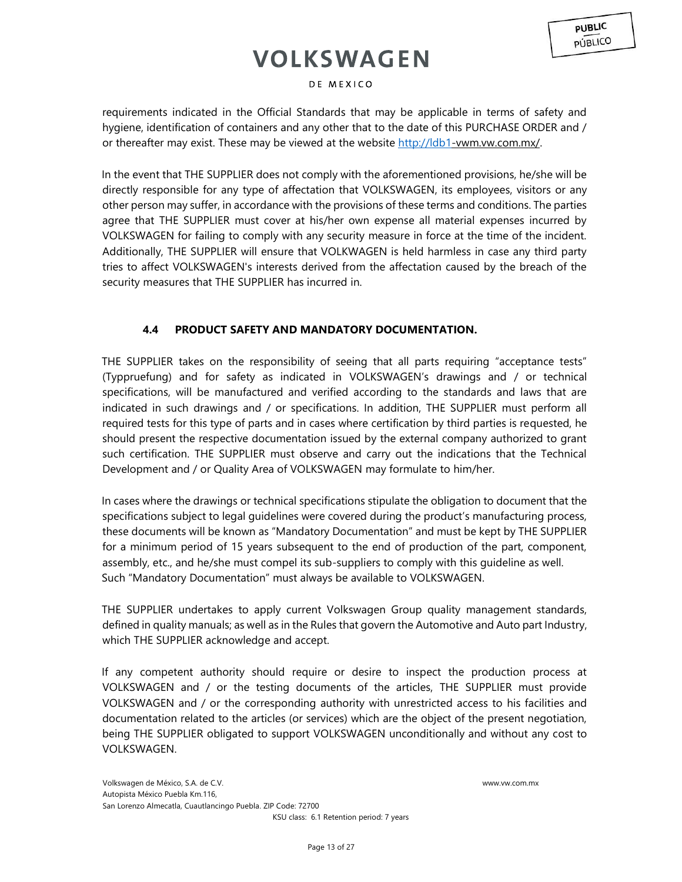### DE MEXICO

requirements indicated in the Official Standards that may be applicable in terms of safety and hygiene, identification of containers and any other that to the date of this PURCHASE ORDER and / or [t](http://ldb1-vwm.vw.com.mx/)hereafter may exist. These may be viewed at the website [http://ldb1-](http://ldb1/)vwm.vw.com.mx/.

In the event that THE SUPPLIER does not comply with the aforementioned provisions, he/she will be directly responsible for any type of affectation that VOLKSWAGEN, its employees, visitors or any other person may suffer, in accordance with the provisions of these terms and conditions. The parties agree that THE SUPPLIER must cover at his/her own expense all material expenses incurred by VOLKSWAGEN for failing to comply with any security measure in force at the time of the incident. Additionally, THE SUPPLIER will ensure that VOLKWAGEN is held harmless in case any third party tries to affect VOLKSWAGEN's interests derived from the affectation caused by the breach of the security measures that THE SUPPLIER has incurred in.

## **4.4 PRODUCT SAFETY AND MANDATORY DOCUMENTATION.**

THE SUPPLIER takes on the responsibility of seeing that all parts requiring "acceptance tests" (Typpruefung) and for safety as indicated in VOLKSWAGEN's drawings and / or technical specifications, will be manufactured and verified according to the standards and laws that are indicated in such drawings and / or specifications. In addition, THE SUPPLIER must perform all required tests for this type of parts and in cases where certification by third parties is requested, he should present the respective documentation issued by the external company authorized to grant such certification. THE SUPPLIER must observe and carry out the indications that the Technical Development and / or Quality Area of VOLKSWAGEN may formulate to him/her.

In cases where the drawings or technical specifications stipulate the obligation to document that the specifications subject to legal guidelines were covered during the product's manufacturing process, these documents will be known as "Mandatory Documentation" and must be kept by THE SUPPLIER for a minimum period of 15 years subsequent to the end of production of the part, component, assembly, etc., and he/she must compel its sub-suppliers to comply with this guideline as well. Such "Mandatory Documentation" must always be available to VOLKSWAGEN.

THE SUPPLIER undertakes to apply current Volkswagen Group quality management standards, defined in quality manuals; as well as in the Rules that govern the Automotive and Auto part Industry, which THE SUPPLIER acknowledge and accept.

If any competent authority should require or desire to inspect the production process at VOLKSWAGEN and / or the testing documents of the articles, THE SUPPLIER must provide VOLKSWAGEN and / or the corresponding authority with unrestricted access to his facilities and documentation related to the articles (or services) which are the object of the present negotiation, being THE SUPPLIER obligated to support VOLKSWAGEN unconditionally and without any cost to VOLKSWAGEN.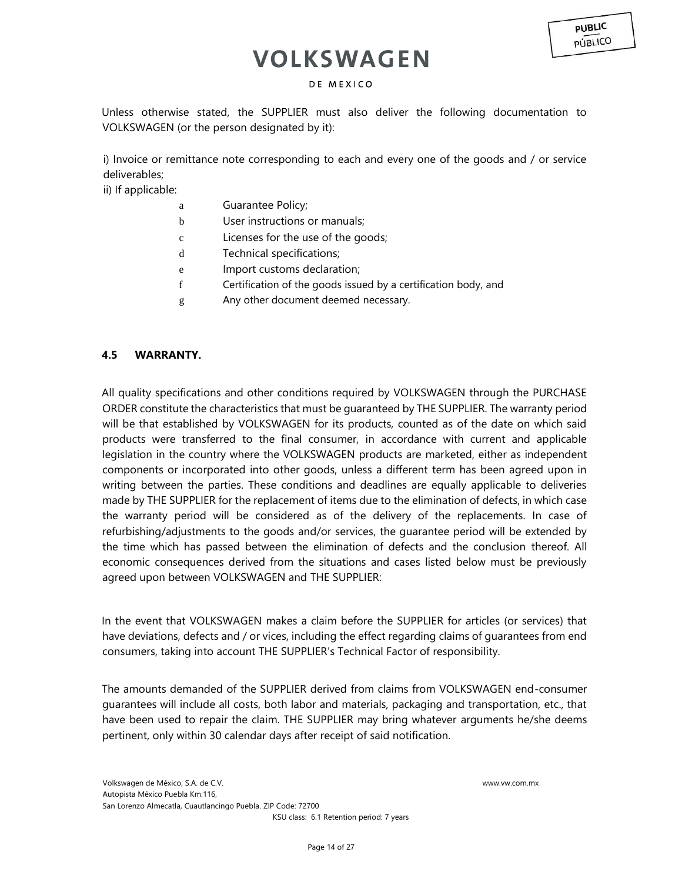### DE MEXICO

Unless otherwise stated, the SUPPLIER must also deliver the following documentation to VOLKSWAGEN (or the person designated by it):

i) Invoice or remittance note corresponding to each and every one of the goods and / or service deliverables;

ii) If applicable:

- a Guarantee Policy;
- b User instructions or manuals;
- c Licenses for the use of the goods;
- d Technical specifications;
- e Import customs declaration;
- f Certification of the goods issued by a certification body, and
- g Any other document deemed necessary.

## **4.5 WARRANTY.**

All quality specifications and other conditions required by VOLKSWAGEN through the PURCHASE ORDER constitute the characteristics that must be guaranteed by THE SUPPLIER. The warranty period will be that established by VOLKSWAGEN for its products, counted as of the date on which said products were transferred to the final consumer, in accordance with current and applicable legislation in the country where the VOLKSWAGEN products are marketed, either as independent components or incorporated into other goods, unless a different term has been agreed upon in writing between the parties. These conditions and deadlines are equally applicable to deliveries made by THE SUPPLIER for the replacement of items due to the elimination of defects, in which case the warranty period will be considered as of the delivery of the replacements. In case of refurbishing/adjustments to the goods and/or services, the guarantee period will be extended by the time which has passed between the elimination of defects and the conclusion thereof. All economic consequences derived from the situations and cases listed below must be previously agreed upon between VOLKSWAGEN and THE SUPPLIER:

In the event that VOLKSWAGEN makes a claim before the SUPPLIER for articles (or services) that have deviations, defects and / or vices, including the effect regarding claims of guarantees from end consumers, taking into account THE SUPPLIER's Technical Factor of responsibility.

The amounts demanded of the SUPPLIER derived from claims from VOLKSWAGEN end-consumer guarantees will include all costs, both labor and materials, packaging and transportation, etc., that have been used to repair the claim. THE SUPPLIER may bring whatever arguments he/she deems pertinent, only within 30 calendar days after receipt of said notification.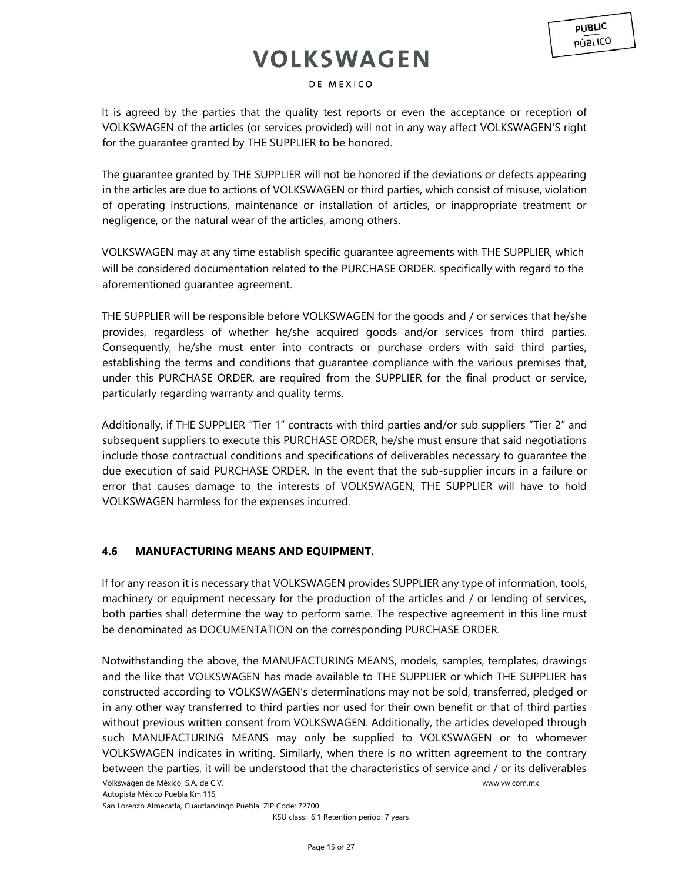### DE MEXICO

It is agreed by the parties that the quality test reports or even the acceptance or reception of VOLKSWAGEN of the articles (or services provided) will not in any way affect VOLKSWAGEN'S right for the guarantee granted by THE SUPPLIER to be honored.

The guarantee granted by THE SUPPLIER will not be honored if the deviations or defects appearing in the articles are due to actions of VOLKSWAGEN or third parties, which consist of misuse, violation of operating instructions, maintenance or installation of articles, or inappropriate treatment or negligence, or the natural wear of the articles, among others.

VOLKSWAGEN may at any time establish specific guarantee agreements with THE SUPPLIER, which will be considered documentation related to the PURCHASE ORDER. specifically with regard to the aforementioned guarantee agreement.

THE SUPPLIER will be responsible before VOLKSWAGEN for the goods and / or services that he/she provides, regardless of whether he/she acquired goods and/or services from third parties. Consequently, he/she must enter into contracts or purchase orders with said third parties, establishing the terms and conditions that guarantee compliance with the various premises that, under this PURCHASE ORDER, are required from the SUPPLIER for the final product or service, particularly regarding warranty and quality terms.

Additionally, if THE SUPPLIER "Tier 1" contracts with third parties and/or sub suppliers "Tier 2" and subsequent suppliers to execute this PURCHASE ORDER, he/she must ensure that said negotiations include those contractual conditions and specifications of deliverables necessary to guarantee the due execution of said PURCHASE ORDER. In the event that the sub-supplier incurs in a failure or error that causes damage to the interests of VOLKSWAGEN, THE SUPPLIER will have to hold VOLKSWAGEN harmless for the expenses incurred.

### **4.6 MANUFACTURING MEANS AND EQUIPMENT.**

If for any reason it is necessary that VOLKSWAGEN provides SUPPLIER any type of information, tools, machinery or equipment necessary for the production of the articles and / or lending of services, both parties shall determine the way to perform same. The respective agreement in this line must be denominated as DOCUMENTATION on the corresponding PURCHASE ORDER.

Volkswagen de México, S.A. de C.V. www.vw.com.mx Notwithstanding the above, the MANUFACTURING MEANS, models, samples, templates, drawings and the like that VOLKSWAGEN has made available to THE SUPPLIER or which THE SUPPLIER has constructed according to VOLKSWAGEN's determinations may not be sold, transferred, pledged or in any other way transferred to third parties nor used for their own benefit or that of third parties without previous written consent from VOLKSWAGEN. Additionally, the articles developed through such MANUFACTURING MEANS may only be supplied to VOLKSWAGEN or to whomever VOLKSWAGEN indicates in writing. Similarly, when there is no written agreement to the contrary between the parties, it will be understood that the characteristics of service and / or its deliverables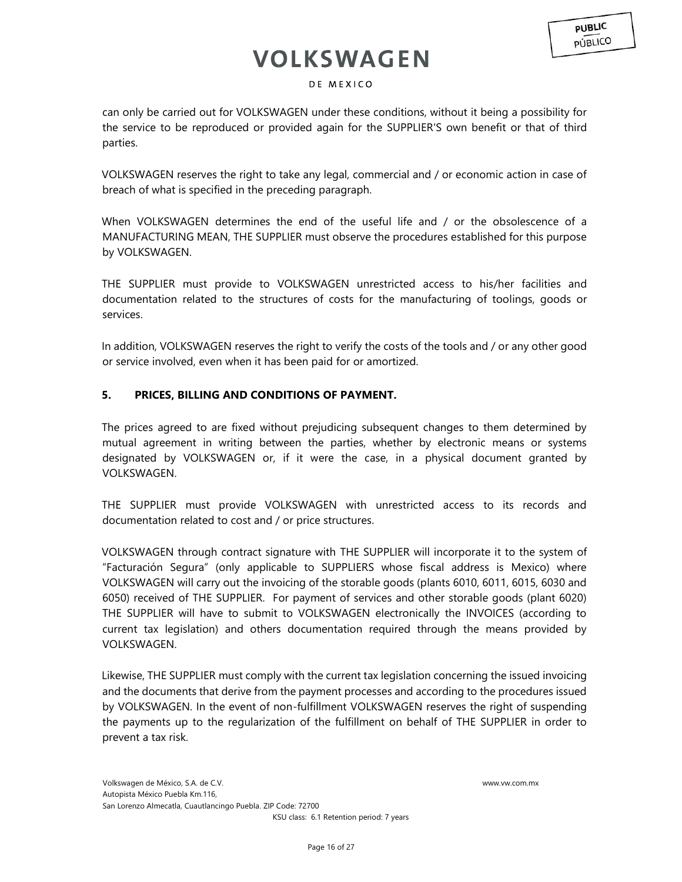### DE MEXICO

can only be carried out for VOLKSWAGEN under these conditions, without it being a possibility for the service to be reproduced or provided again for the SUPPLIER'S own benefit or that of third parties.

VOLKSWAGEN reserves the right to take any legal, commercial and / or economic action in case of breach of what is specified in the preceding paragraph.

When VOLKSWAGEN determines the end of the useful life and / or the obsolescence of a MANUFACTURING MEAN, THE SUPPLIER must observe the procedures established for this purpose by VOLKSWAGEN.

THE SUPPLIER must provide to VOLKSWAGEN unrestricted access to his/her facilities and documentation related to the structures of costs for the manufacturing of toolings, goods or services.

In addition, VOLKSWAGEN reserves the right to verify the costs of the tools and / or any other good or service involved, even when it has been paid for or amortized.

## **5. PRICES, BILLING AND CONDITIONS OF PAYMENT.**

The prices agreed to are fixed without prejudicing subsequent changes to them determined by mutual agreement in writing between the parties, whether by electronic means or systems designated by VOLKSWAGEN or, if it were the case, in a physical document granted by VOLKSWAGEN.

THE SUPPLIER must provide VOLKSWAGEN with unrestricted access to its records and documentation related to cost and / or price structures.

VOLKSWAGEN through contract signature with THE SUPPLIER will incorporate it to the system of "Facturación Segura" (only applicable to SUPPLIERS whose fiscal address is Mexico) where VOLKSWAGEN will carry out the invoicing of the storable goods (plants 6010, 6011, 6015, 6030 and 6050) received of THE SUPPLIER. For payment of services and other storable goods (plant 6020) THE SUPPLIER will have to submit to VOLKSWAGEN electronically the INVOICES (according to current tax legislation) and others documentation required through the means provided by VOLKSWAGEN.

Likewise, THE SUPPLIER must comply with the current tax legislation concerning the issued invoicing and the documents that derive from the payment processes and according to the procedures issued by VOLKSWAGEN. In the event of non-fulfillment VOLKSWAGEN reserves the right of suspending the payments up to the regularization of the fulfillment on behalf of THE SUPPLIER in order to prevent a tax risk.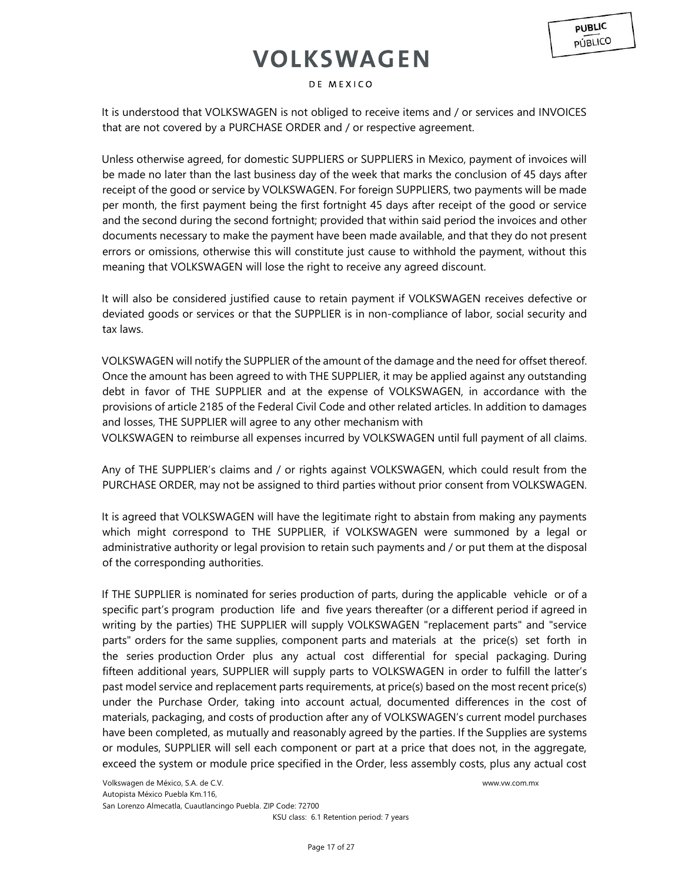It is understood that VOLKSWAGEN is not obliged to receive items and / or services and INVOICES that are not covered by a PURCHASE ORDER and / or respective agreement.

Unless otherwise agreed, for domestic SUPPLIERS or SUPPLIERS in Mexico, payment of invoices will be made no later than the last business day of the week that marks the conclusion of 45 days after receipt of the good or service by VOLKSWAGEN. For foreign SUPPLIERS, two payments will be made per month, the first payment being the first fortnight 45 days after receipt of the good or service and the second during the second fortnight; provided that within said period the invoices and other documents necessary to make the payment have been made available, and that they do not present errors or omissions, otherwise this will constitute just cause to withhold the payment, without this meaning that VOLKSWAGEN will lose the right to receive any agreed discount.

It will also be considered justified cause to retain payment if VOLKSWAGEN receives defective or deviated goods or services or that the SUPPLIER is in non-compliance of labor, social security and tax laws.

VOLKSWAGEN will notify the SUPPLIER of the amount of the damage and the need for offset thereof. Once the amount has been agreed to with THE SUPPLIER, it may be applied against any outstanding debt in favor of THE SUPPLIER and at the expense of VOLKSWAGEN, in accordance with the provisions of article 2185 of the Federal Civil Code and other related articles. In addition to damages and losses, THE SUPPLIER will agree to any other mechanism with

VOLKSWAGEN to reimburse all expenses incurred by VOLKSWAGEN until full payment of all claims.

Any of THE SUPPLIER's claims and / or rights against VOLKSWAGEN, which could result from the PURCHASE ORDER, may not be assigned to third parties without prior consent from VOLKSWAGEN.

It is agreed that VOLKSWAGEN will have the legitimate right to abstain from making any payments which might correspond to THE SUPPLIER, if VOLKSWAGEN were summoned by a legal or administrative authority or legal provision to retain such payments and / or put them at the disposal of the corresponding authorities.

If THE SUPPLIER is nominated for series production of parts, during the applicable vehicle or of a specific part's program production life and five years thereafter (or a different period if agreed in writing by the parties) THE SUPPLIER will supply VOLKSWAGEN "replacement parts" and "service parts" orders for the same supplies, component parts and materials at the price(s) set forth in the series production Order plus any actual cost differential for special packaging. During fifteen additional years, SUPPLIER will supply parts to VOLKSWAGEN in order to fulfill the latter's past model service and replacement parts requirements, at price(s) based on the most recent price(s) under the Purchase Order, taking into account actual, documented differences in the cost of materials, packaging, and costs of production after any of VOLKSWAGEN's current model purchases have been completed, as mutually and reasonably agreed by the parties. If the Supplies are systems or modules, SUPPLIER will sell each component or part at a price that does not, in the aggregate, exceed the system or module price specified in the Order, less assembly costs, plus any actual cost

**PUBLIC PÚBLICO**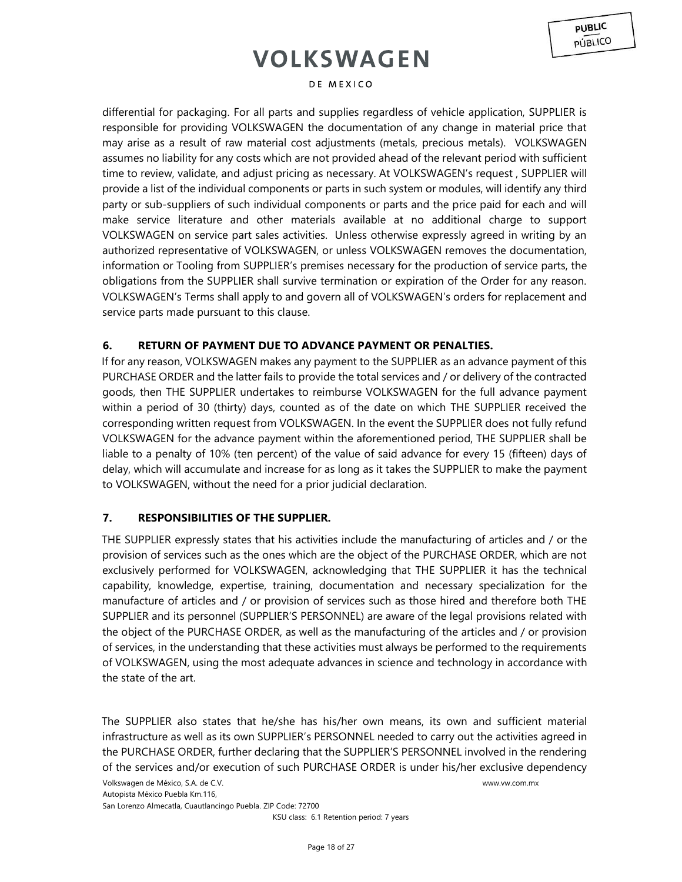#### DE MEXICO

differential for packaging. For all parts and supplies regardless of vehicle application, SUPPLIER is responsible for providing VOLKSWAGEN the documentation of any change in material price that may arise as a result of raw material cost adjustments (metals, precious metals). VOLKSWAGEN assumes no liability for any costs which are not provided ahead of the relevant period with sufficient time to review, validate, and adjust pricing as necessary. At VOLKSWAGEN's request , SUPPLIER will provide a list of the individual components or parts in such system or modules, will identify any third party or sub-suppliers of such individual components or parts and the price paid for each and will make service literature and other materials available at no additional charge to support VOLKSWAGEN on service part sales activities. Unless otherwise expressly agreed in writing by an authorized representative of VOLKSWAGEN, or unless VOLKSWAGEN removes the documentation, information or Tooling from SUPPLIER's premises necessary for the production of service parts, the obligations from the SUPPLIER shall survive termination or expiration of the Order for any reason. VOLKSWAGEN's Terms shall apply to and govern all of VOLKSWAGEN's orders for replacement and service parts made pursuant to this clause.

## **6. RETURN OF PAYMENT DUE TO ADVANCE PAYMENT OR PENALTIES.**

If for any reason, VOLKSWAGEN makes any payment to the SUPPLIER as an advance payment of this PURCHASE ORDER and the latter fails to provide the total services and / or delivery of the contracted goods, then THE SUPPLIER undertakes to reimburse VOLKSWAGEN for the full advance payment within a period of 30 (thirty) days, counted as of the date on which THE SUPPLIER received the corresponding written request from VOLKSWAGEN. In the event the SUPPLIER does not fully refund VOLKSWAGEN for the advance payment within the aforementioned period, THE SUPPLIER shall be liable to a penalty of 10% (ten percent) of the value of said advance for every 15 (fifteen) days of delay, which will accumulate and increase for as long as it takes the SUPPLIER to make the payment to VOLKSWAGEN, without the need for a prior judicial declaration.

### **7. RESPONSIBILITIES OF THE SUPPLIER.**

THE SUPPLIER expressly states that his activities include the manufacturing of articles and / or the provision of services such as the ones which are the object of the PURCHASE ORDER, which are not exclusively performed for VOLKSWAGEN, acknowledging that THE SUPPLIER it has the technical capability, knowledge, expertise, training, documentation and necessary specialization for the manufacture of articles and / or provision of services such as those hired and therefore both THE SUPPLIER and its personnel (SUPPLIER'S PERSONNEL) are aware of the legal provisions related with the object of the PURCHASE ORDER, as well as the manufacturing of the articles and / or provision of services, in the understanding that these activities must always be performed to the requirements of VOLKSWAGEN, using the most adequate advances in science and technology in accordance with the state of the art.

The SUPPLIER also states that he/she has his/her own means, its own and sufficient material infrastructure as well as its own SUPPLIER's PERSONNEL needed to carry out the activities agreed in the PURCHASE ORDER, further declaring that the SUPPLIER'S PERSONNEL involved in the rendering of the services and/or execution of such PURCHASE ORDER is under his/her exclusive dependency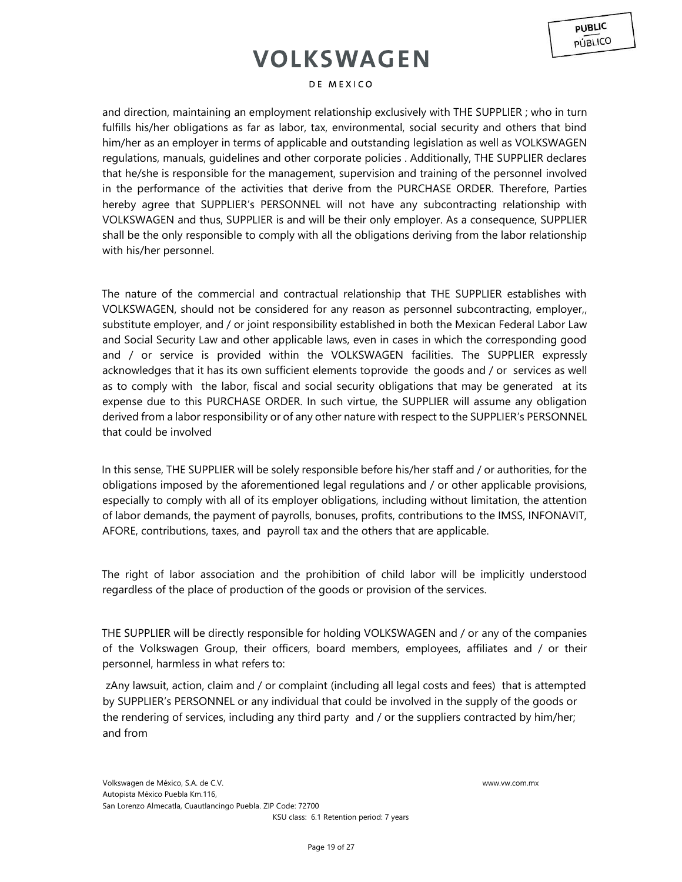#### DE MEXICO

and direction, maintaining an employment relationship exclusively with THE SUPPLIER ; who in turn fulfills his/her obligations as far as labor, tax, environmental, social security and others that bind him/her as an employer in terms of applicable and outstanding legislation as well as VOLKSWAGEN regulations, manuals, guidelines and other corporate policies . Additionally, THE SUPPLIER declares that he/she is responsible for the management, supervision and training of the personnel involved in the performance of the activities that derive from the PURCHASE ORDER. Therefore, Parties hereby agree that SUPPLIER's PERSONNEL will not have any subcontracting relationship with VOLKSWAGEN and thus, SUPPLIER is and will be their only employer. As a consequence, SUPPLIER shall be the only responsible to comply with all the obligations deriving from the labor relationship with his/her personnel.

The nature of the commercial and contractual relationship that THE SUPPLIER establishes with VOLKSWAGEN, should not be considered for any reason as personnel subcontracting, employer,, substitute employer, and / or joint responsibility established in both the Mexican Federal Labor Law and Social Security Law and other applicable laws, even in cases in which the corresponding good and / or service is provided within the VOLKSWAGEN facilities. The SUPPLIER expressly acknowledges that it has its own sufficient elements toprovide the goods and / or services as well as to comply with the labor, fiscal and social security obligations that may be generated at its expense due to this PURCHASE ORDER. In such virtue, the SUPPLIER will assume any obligation derived from a labor responsibility or of any other nature with respect to the SUPPLIER's PERSONNEL that could be involved

In this sense, THE SUPPLIER will be solely responsible before his/her staff and / or authorities, for the obligations imposed by the aforementioned legal regulations and / or other applicable provisions, especially to comply with all of its employer obligations, including without limitation, the attention of labor demands, the payment of payrolls, bonuses, profits, contributions to the IMSS, INFONAVIT, AFORE, contributions, taxes, and payroll tax and the others that are applicable.

The right of labor association and the prohibition of child labor will be implicitly understood regardless of the place of production of the goods or provision of the services.

THE SUPPLIER will be directly responsible for holding VOLKSWAGEN and / or any of the companies of the Volkswagen Group, their officers, board members, employees, affiliates and / or their personnel, harmless in what refers to:

zAny lawsuit, action, claim and / or complaint (including all legal costs and fees) that is attempted by SUPPLIER's PERSONNEL or any individual that could be involved in the supply of the goods or the rendering of services, including any third party and / or the suppliers contracted by him/her; and from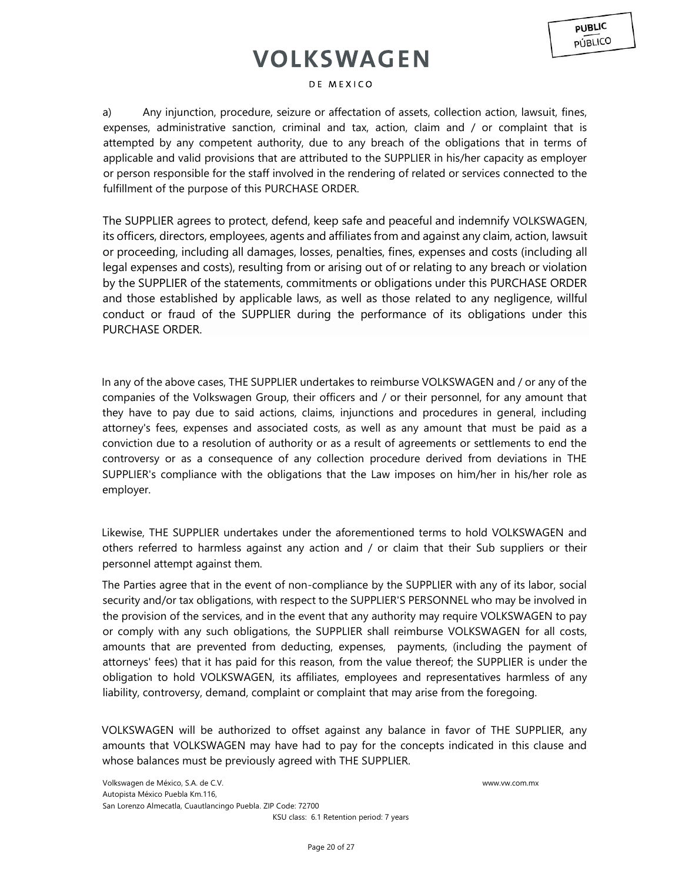### DE MEXICO

a) Any injunction, procedure, seizure or affectation of assets, collection action, lawsuit, fines, expenses, administrative sanction, criminal and tax, action, claim and / or complaint that is attempted by any competent authority, due to any breach of the obligations that in terms of applicable and valid provisions that are attributed to the SUPPLIER in his/her capacity as employer or person responsible for the staff involved in the rendering of related or services connected to the fulfillment of the purpose of this PURCHASE ORDER.

The SUPPLIER agrees to protect, defend, keep safe and peaceful and indemnify VOLKSWAGEN, its officers, directors, employees, agents and affiliates from and against any claim, action, lawsuit or proceeding, including all damages, losses, penalties, fines, expenses and costs (including all legal expenses and costs), resulting from or arising out of or relating to any breach or violation by the SUPPLIER of the statements, commitments or obligations under this PURCHASE ORDER and those established by applicable laws, as well as those related to any negligence, willful conduct or fraud of the SUPPLIER during the performance of its obligations under this PURCHASE ORDER.

In any of the above cases, THE SUPPLIER undertakes to reimburse VOLKSWAGEN and / or any of the companies of the Volkswagen Group, their officers and / or their personnel, for any amount that they have to pay due to said actions, claims, injunctions and procedures in general, including attorney's fees, expenses and associated costs, as well as any amount that must be paid as a conviction due to a resolution of authority or as a result of agreements or settlements to end the controversy or as a consequence of any collection procedure derived from deviations in THE SUPPLIER's compliance with the obligations that the Law imposes on him/her in his/her role as employer.

Likewise, THE SUPPLIER undertakes under the aforementioned terms to hold VOLKSWAGEN and others referred to harmless against any action and / or claim that their Sub suppliers or their personnel attempt against them.

The Parties agree that in the event of non-compliance by the SUPPLIER with any of its labor, social security and/or tax obligations, with respect to the SUPPLIER'S PERSONNEL who may be involved in the provision of the services, and in the event that any authority may require VOLKSWAGEN to pay or comply with any such obligations, the SUPPLIER shall reimburse VOLKSWAGEN for all costs, amounts that are prevented from deducting, expenses, payments, (including the payment of attorneys' fees) that it has paid for this reason, from the value thereof; the SUPPLIER is under the obligation to hold VOLKSWAGEN, its affiliates, employees and representatives harmless of any liability, controversy, demand, complaint or complaint that may arise from the foregoing.

VOLKSWAGEN will be authorized to offset against any balance in favor of THE SUPPLIER, any amounts that VOLKSWAGEN may have had to pay for the concepts indicated in this clause and whose balances must be previously agreed with THE SUPPLIER.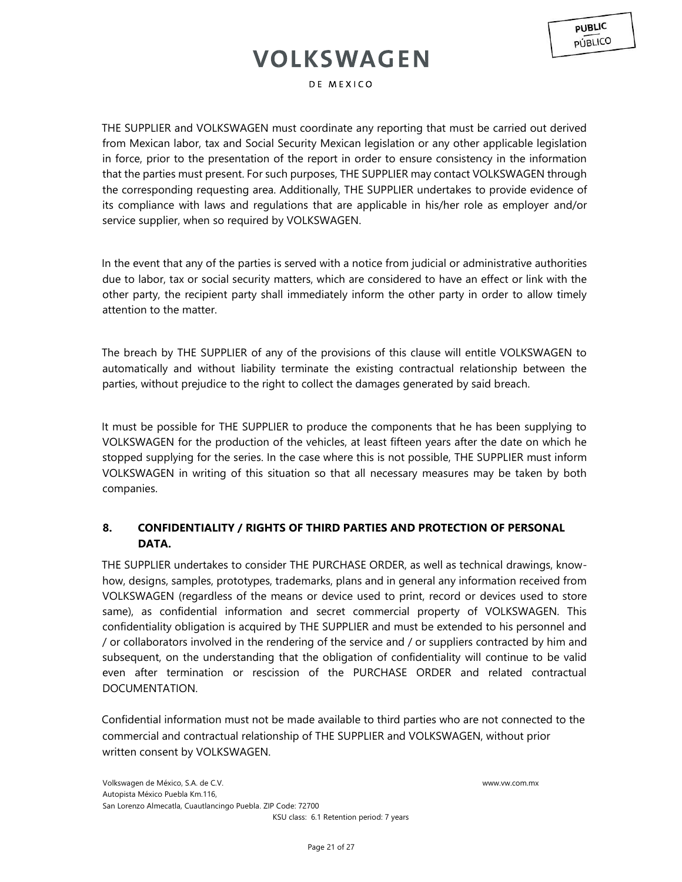DE MEXICO

THE SUPPLIER and VOLKSWAGEN must coordinate any reporting that must be carried out derived from Mexican labor, tax and Social Security Mexican legislation or any other applicable legislation in force, prior to the presentation of the report in order to ensure consistency in the information that the parties must present. For such purposes, THE SUPPLIER may contact VOLKSWAGEN through the corresponding requesting area. Additionally, THE SUPPLIER undertakes to provide evidence of its compliance with laws and regulations that are applicable in his/her role as employer and/or service supplier, when so required by VOLKSWAGEN.

In the event that any of the parties is served with a notice from judicial or administrative authorities due to labor, tax or social security matters, which are considered to have an effect or link with the other party, the recipient party shall immediately inform the other party in order to allow timely attention to the matter.

The breach by THE SUPPLIER of any of the provisions of this clause will entitle VOLKSWAGEN to automatically and without liability terminate the existing contractual relationship between the parties, without prejudice to the right to collect the damages generated by said breach.

It must be possible for THE SUPPLIER to produce the components that he has been supplying to VOLKSWAGEN for the production of the vehicles, at least fifteen years after the date on which he stopped supplying for the series. In the case where this is not possible, THE SUPPLIER must inform VOLKSWAGEN in writing of this situation so that all necessary measures may be taken by both companies.

## **8. CONFIDENTIALITY / RIGHTS OF THIRD PARTIES AND PROTECTION OF PERSONAL DATA.**

THE SUPPLIER undertakes to consider THE PURCHASE ORDER, as well as technical drawings, knowhow, designs, samples, prototypes, trademarks, plans and in general any information received from VOLKSWAGEN (regardless of the means or device used to print, record or devices used to store same), as confidential information and secret commercial property of VOLKSWAGEN. This confidentiality obligation is acquired by THE SUPPLIER and must be extended to his personnel and / or collaborators involved in the rendering of the service and / or suppliers contracted by him and subsequent, on the understanding that the obligation of confidentiality will continue to be valid even after termination or rescission of the PURCHASE ORDER and related contractual DOCUMENTATION.

Confidential information must not be made available to third parties who are not connected to the commercial and contractual relationship of THE SUPPLIER and VOLKSWAGEN, without prior written consent by VOLKSWAGEN.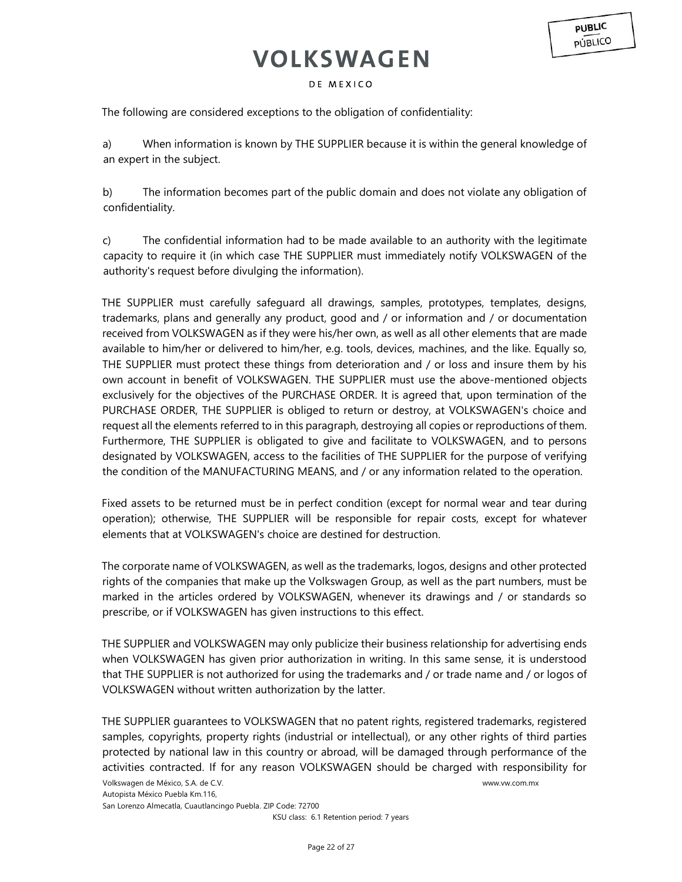**PUBLIC PÚBLICO** 

### DE MEXICO

The following are considered exceptions to the obligation of confidentiality:

a) When information is known by THE SUPPLIER because it is within the general knowledge of an expert in the subject.

b) The information becomes part of the public domain and does not violate any obligation of confidentiality.

c) The confidential information had to be made available to an authority with the legitimate capacity to require it (in which case THE SUPPLIER must immediately notify VOLKSWAGEN of the authority's request before divulging the information).

THE SUPPLIER must carefully safeguard all drawings, samples, prototypes, templates, designs, trademarks, plans and generally any product, good and / or information and / or documentation received from VOLKSWAGEN as if they were his/her own, as well as all other elements that are made available to him/her or delivered to him/her, e.g. tools, devices, machines, and the like. Equally so, THE SUPPLIER must protect these things from deterioration and / or loss and insure them by his own account in benefit of VOLKSWAGEN. THE SUPPLIER must use the above-mentioned objects exclusively for the objectives of the PURCHASE ORDER. It is agreed that, upon termination of the PURCHASE ORDER, THE SUPPLIER is obliged to return or destroy, at VOLKSWAGEN's choice and request all the elements referred to in this paragraph, destroying all copies or reproductions of them. Furthermore, THE SUPPLIER is obligated to give and facilitate to VOLKSWAGEN, and to persons designated by VOLKSWAGEN, access to the facilities of THE SUPPLIER for the purpose of verifying the condition of the MANUFACTURING MEANS, and / or any information related to the operation.

Fixed assets to be returned must be in perfect condition (except for normal wear and tear during operation); otherwise, THE SUPPLIER will be responsible for repair costs, except for whatever elements that at VOLKSWAGEN's choice are destined for destruction.

The corporate name of VOLKSWAGEN, as well as the trademarks, logos, designs and other protected rights of the companies that make up the Volkswagen Group, as well as the part numbers, must be marked in the articles ordered by VOLKSWAGEN, whenever its drawings and / or standards so prescribe, or if VOLKSWAGEN has given instructions to this effect.

THE SUPPLIER and VOLKSWAGEN may only publicize their business relationship for advertising ends when VOLKSWAGEN has given prior authorization in writing. In this same sense, it is understood that THE SUPPLIER is not authorized for using the trademarks and / or trade name and / or logos of VOLKSWAGEN without written authorization by the latter.

THE SUPPLIER guarantees to VOLKSWAGEN that no patent rights, registered trademarks, registered samples, copyrights, property rights (industrial or intellectual), or any other rights of third parties protected by national law in this country or abroad, will be damaged through performance of the activities contracted. If for any reason VOLKSWAGEN should be charged with responsibility for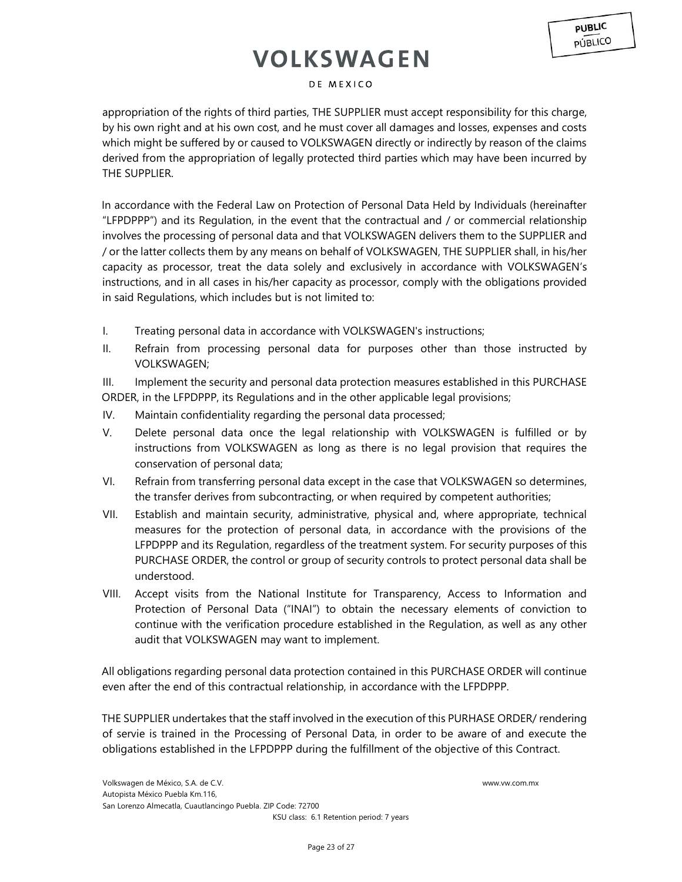### DE MEXICO

appropriation of the rights of third parties, THE SUPPLIER must accept responsibility for this charge, by his own right and at his own cost, and he must cover all damages and losses, expenses and costs which might be suffered by or caused to VOLKSWAGEN directly or indirectly by reason of the claims derived from the appropriation of legally protected third parties which may have been incurred by THE SUPPLIER.

In accordance with the Federal Law on Protection of Personal Data Held by Individuals (hereinafter "LFPDPPP") and its Regulation, in the event that the contractual and / or commercial relationship involves the processing of personal data and that VOLKSWAGEN delivers them to the SUPPLIER and / or the latter collects them by any means on behalf of VOLKSWAGEN, THE SUPPLIER shall, in his/her capacity as processor, treat the data solely and exclusively in accordance with VOLKSWAGEN's instructions, and in all cases in his/her capacity as processor, comply with the obligations provided in said Regulations, which includes but is not limited to:

- I. Treating personal data in accordance with VOLKSWAGEN's instructions;
- II. Refrain from processing personal data for purposes other than those instructed by VOLKSWAGEN;

III. Implement the security and personal data protection measures established in this PURCHASE ORDER, in the LFPDPPP, its Regulations and in the other applicable legal provisions;

- IV. Maintain confidentiality regarding the personal data processed;
- V. Delete personal data once the legal relationship with VOLKSWAGEN is fulfilled or by instructions from VOLKSWAGEN as long as there is no legal provision that requires the conservation of personal data;
- VI. Refrain from transferring personal data except in the case that VOLKSWAGEN so determines, the transfer derives from subcontracting, or when required by competent authorities;
- VII. Establish and maintain security, administrative, physical and, where appropriate, technical measures for the protection of personal data, in accordance with the provisions of the LFPDPPP and its Regulation, regardless of the treatment system. For security purposes of this PURCHASE ORDER, the control or group of security controls to protect personal data shall be understood.
- VIII. Accept visits from the National Institute for Transparency, Access to Information and Protection of Personal Data ("INAI") to obtain the necessary elements of conviction to continue with the verification procedure established in the Regulation, as well as any other audit that VOLKSWAGEN may want to implement.

All obligations regarding personal data protection contained in this PURCHASE ORDER will continue even after the end of this contractual relationship, in accordance with the LFPDPPP.

THE SUPPLIER undertakes that the staff involved in the execution of this PURHASE ORDER/ rendering of servie is trained in the Processing of Personal Data, in order to be aware of and execute the obligations established in the LFPDPPP during the fulfillment of the objective of this Contract.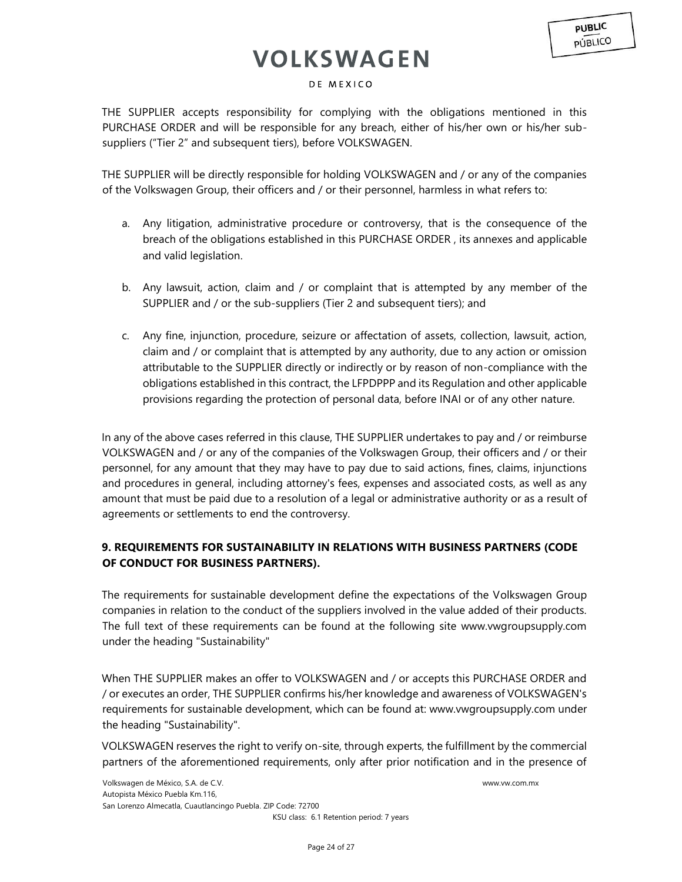### DE MEXICO

THE SUPPLIER accepts responsibility for complying with the obligations mentioned in this PURCHASE ORDER and will be responsible for any breach, either of his/her own or his/her subsuppliers ("Tier 2" and subsequent tiers), before VOLKSWAGEN.

THE SUPPLIER will be directly responsible for holding VOLKSWAGEN and / or any of the companies of the Volkswagen Group, their officers and / or their personnel, harmless in what refers to:

- a. Any litigation, administrative procedure or controversy, that is the consequence of the breach of the obligations established in this PURCHASE ORDER , its annexes and applicable and valid legislation.
- b. Any lawsuit, action, claim and / or complaint that is attempted by any member of the SUPPLIER and / or the sub-suppliers (Tier 2 and subsequent tiers); and
- c. Any fine, injunction, procedure, seizure or affectation of assets, collection, lawsuit, action, claim and / or complaint that is attempted by any authority, due to any action or omission attributable to the SUPPLIER directly or indirectly or by reason of non-compliance with the obligations established in this contract, the LFPDPPP and its Regulation and other applicable provisions regarding the protection of personal data, before INAI or of any other nature.

In any of the above cases referred in this clause, THE SUPPLIER undertakes to pay and / or reimburse VOLKSWAGEN and / or any of the companies of the Volkswagen Group, their officers and / or their personnel, for any amount that they may have to pay due to said actions, fines, claims, injunctions and procedures in general, including attorney's fees, expenses and associated costs, as well as any amount that must be paid due to a resolution of a legal or administrative authority or as a result of agreements or settlements to end the controversy.

## **9. REQUIREMENTS FOR SUSTAINABILITY IN RELATIONS WITH BUSINESS PARTNERS (CODE OF CONDUCT FOR BUSINESS PARTNERS).**

The requirements for sustainable development define the expectations of the Volkswagen Group companies in relation to the conduct of the suppliers involved in the value added of their products. The full text of these requirements can be found at the following site www.vwgroupsupply.com under the heading "Sustainability"

When THE SUPPLIER makes an offer to VOLKSWAGEN and / or accepts this PURCHASE ORDER and / or executes an order, THE SUPPLIER confirms his/her knowledge and awareness of VOLKSWAGEN's requirements for sustainable development, which can be found at: www.vwgroupsupply.com under the heading "Sustainability".

VOLKSWAGEN reserves the right to verify on-site, through experts, the fulfillment by the commercial partners of the aforementioned requirements, only after prior notification and in the presence of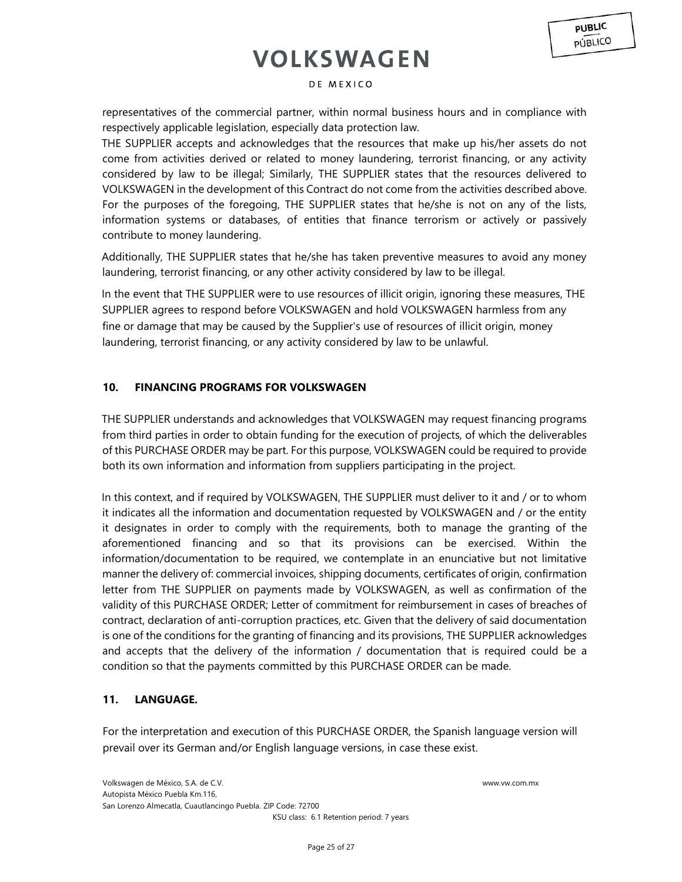### DE MEXICO

representatives of the commercial partner, within normal business hours and in compliance with respectively applicable legislation, especially data protection law.

THE SUPPLIER accepts and acknowledges that the resources that make up his/her assets do not come from activities derived or related to money laundering, terrorist financing, or any activity considered by law to be illegal; Similarly, THE SUPPLIER states that the resources delivered to VOLKSWAGEN in the development of this Contract do not come from the activities described above. For the purposes of the foregoing, THE SUPPLIER states that he/she is not on any of the lists, information systems or databases, of entities that finance terrorism or actively or passively contribute to money laundering.

Additionally, THE SUPPLIER states that he/she has taken preventive measures to avoid any money laundering, terrorist financing, or any other activity considered by law to be illegal.

In the event that THE SUPPLIER were to use resources of illicit origin, ignoring these measures, THE SUPPLIER agrees to respond before VOLKSWAGEN and hold VOLKSWAGEN harmless from any fine or damage that may be caused by the Supplier's use of resources of illicit origin, money laundering, terrorist financing, or any activity considered by law to be unlawful.

### **10. FINANCING PROGRAMS FOR VOLKSWAGEN**

THE SUPPLIER understands and acknowledges that VOLKSWAGEN may request financing programs from third parties in order to obtain funding for the execution of projects, of which the deliverables of this PURCHASE ORDER may be part. For this purpose, VOLKSWAGEN could be required to provide both its own information and information from suppliers participating in the project.

In this context, and if required by VOLKSWAGEN, THE SUPPLIER must deliver to it and / or to whom it indicates all the information and documentation requested by VOLKSWAGEN and / or the entity it designates in order to comply with the requirements, both to manage the granting of the aforementioned financing and so that its provisions can be exercised. Within the information/documentation to be required, we contemplate in an enunciative but not limitative manner the delivery of: commercial invoices, shipping documents, certificates of origin, confirmation letter from THE SUPPLIER on payments made by VOLKSWAGEN, as well as confirmation of the validity of this PURCHASE ORDER; Letter of commitment for reimbursement in cases of breaches of contract, declaration of anti-corruption practices, etc. Given that the delivery of said documentation is one of the conditions for the granting of financing and its provisions, THE SUPPLIER acknowledges and accepts that the delivery of the information / documentation that is required could be a condition so that the payments committed by this PURCHASE ORDER can be made.

## **11. LANGUAGE.**

For the interpretation and execution of this PURCHASE ORDER, the Spanish language version will prevail over its German and/or English language versions, in case these exist.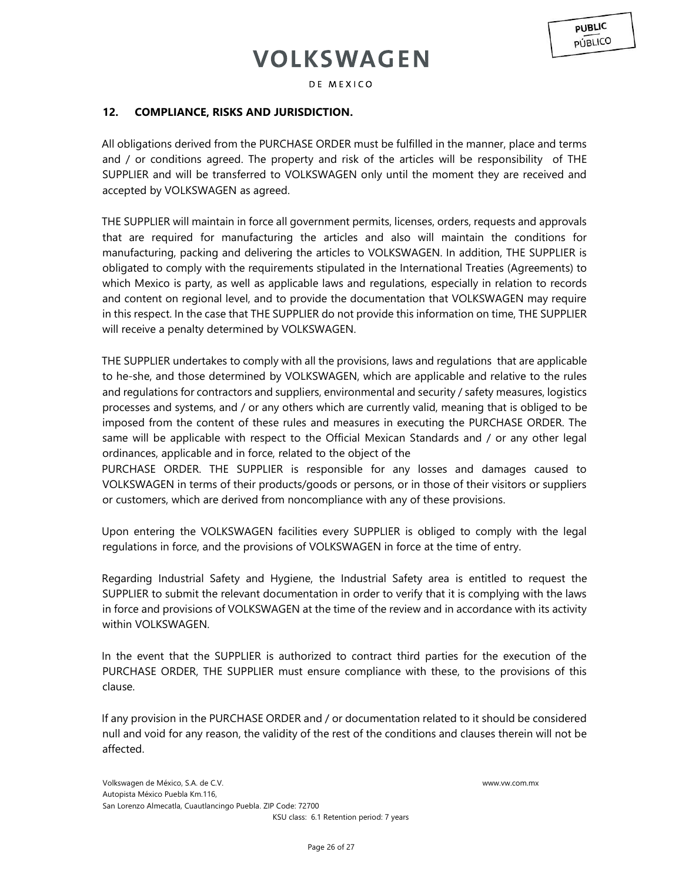DE MEXICO

## **12. COMPLIANCE, RISKS AND JURISDICTION.**

All obligations derived from the PURCHASE ORDER must be fulfilled in the manner, place and terms and / or conditions agreed. The property and risk of the articles will be responsibility of THE SUPPLIER and will be transferred to VOLKSWAGEN only until the moment they are received and accepted by VOLKSWAGEN as agreed.

THE SUPPLIER will maintain in force all government permits, licenses, orders, requests and approvals that are required for manufacturing the articles and also will maintain the conditions for manufacturing, packing and delivering the articles to VOLKSWAGEN. In addition, THE SUPPLIER is obligated to comply with the requirements stipulated in the International Treaties (Agreements) to which Mexico is party, as well as applicable laws and regulations, especially in relation to records and content on regional level, and to provide the documentation that VOLKSWAGEN may require in this respect. In the case that THE SUPPLIER do not provide this information on time, THE SUPPLIER will receive a penalty determined by VOLKSWAGEN.

THE SUPPLIER undertakes to comply with all the provisions, laws and regulations that are applicable to he-she, and those determined by VOLKSWAGEN, which are applicable and relative to the rules and regulations for contractors and suppliers, environmental and security / safety measures, logistics processes and systems, and / or any others which are currently valid, meaning that is obliged to be imposed from the content of these rules and measures in executing the PURCHASE ORDER. The same will be applicable with respect to the Official Mexican Standards and / or any other legal ordinances, applicable and in force, related to the object of the

PURCHASE ORDER. THE SUPPLIER is responsible for any losses and damages caused to VOLKSWAGEN in terms of their products/goods or persons, or in those of their visitors or suppliers or customers, which are derived from noncompliance with any of these provisions.

Upon entering the VOLKSWAGEN facilities every SUPPLIER is obliged to comply with the legal regulations in force, and the provisions of VOLKSWAGEN in force at the time of entry.

Regarding Industrial Safety and Hygiene, the Industrial Safety area is entitled to request the SUPPLIER to submit the relevant documentation in order to verify that it is complying with the laws in force and provisions of VOLKSWAGEN at the time of the review and in accordance with its activity within VOLKSWAGEN.

In the event that the SUPPLIER is authorized to contract third parties for the execution of the PURCHASE ORDER, THE SUPPLIER must ensure compliance with these, to the provisions of this clause.

If any provision in the PURCHASE ORDER and / or documentation related to it should be considered null and void for any reason, the validity of the rest of the conditions and clauses therein will not be affected.